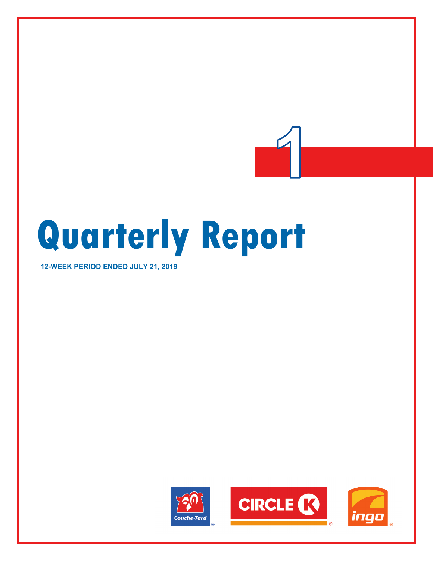# **Quarterly Report**

**12-WEEK PERIOD ENDED JULY 21, 2019**

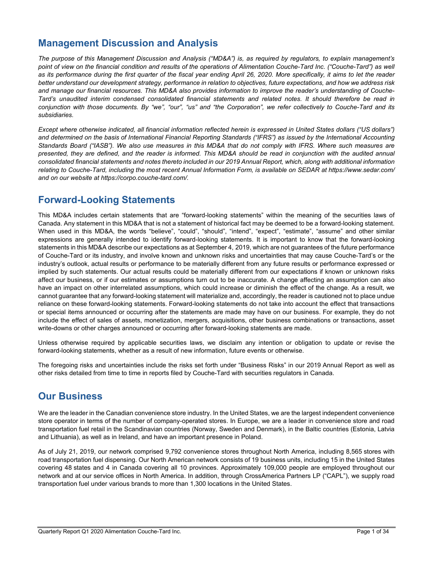# **Management Discussion and Analysis**

*The purpose of this Management Discussion and Analysis ("MD&A") is, as required by regulators, to explain management's point of view on the financial condition and results of the operations of Alimentation Couche-Tard Inc. ("Couche-Tard") as well as its performance during the first quarter of the fiscal year ending April 26, 2020. More specifically, it aims to let the reader better understand our development strategy, performance in relation to objectives, future expectations, and how we address risk*  and manage our financial resources. This MD&A also provides information to *improve the reader's understanding of Couche*-*Tard's unaudited interim condensed consolidated financial statements and related notes. It should therefore be read in conjunction with those documents. By "we", "our", "us" and "the Corporation", we refer collectively to Couche-Tard and its subsidiaries.*

*Except where otherwise indicated, all financial information reflected herein is expressed in United States dollars ("US dollars") and determined on the basis of International Financial Reporting Standards ("IFRS") as issued by the International Accounting Standards Board ("IASB"). We also use measures in this MD&A that do not comply with IFRS. Where such measures are presented, they are defined, and the reader is informed. This MD&A should be read in conjunction with the audited annual consolidated financial statements and notes thereto included in our 2019 Annual Report, which, along with additional information relating to Couche-Tard, including the most recent Annual Information Form, is available on SEDAR at https://www.sedar.com/ and on our website at https://corpo.couche-tard.com/.*

# **Forward-Looking Statements**

This MD&A includes certain statements that are "forward-looking statements" within the meaning of the securities laws of Canada. Any statement in this MD&A that is not a statement of historical fact may be deemed to be a forward-looking statement. When used in this MD&A, the words "believe", "could", "should", "intend", "expect", "estimate", "assume" and other similar expressions are generally intended to identify forward-looking statements. It is important to know that the forward-looking statements in this MD&A describe our expectations as at September 4, 2019, which are not guarantees of the future performance of Couche-Tard or its industry, and involve known and unknown risks and uncertainties that may cause Couche-Tard's or the industry's outlook, actual results or performance to be materially different from any future results or performance expressed or implied by such statements. Our actual results could be materially different from our expectations if known or unknown risks affect our business, or if our estimates or assumptions turn out to be inaccurate. A change affecting an assumption can also have an impact on other interrelated assumptions, which could increase or diminish the effect of the change. As a result, we cannot guarantee that any forward-looking statement will materialize and, accordingly, the reader is cautioned not to place undue reliance on these forward-looking statements. Forward-looking statements do not take into account the effect that transactions or special items announced or occurring after the statements are made may have on our business. For example, they do not include the effect of sales of assets, monetization, mergers, acquisitions, other business combinations or transactions, asset write-downs or other charges announced or occurring after forward-looking statements are made.

Unless otherwise required by applicable securities laws, we disclaim any intention or obligation to update or revise the forward-looking statements, whether as a result of new information, future events or otherwise.

The foregoing risks and uncertainties include the risks set forth under "Business Risks" in our 2019 Annual Report as well as other risks detailed from time to time in reports filed by Couche-Tard with securities regulators in Canada.

# **Our Business**

We are the leader in the Canadian convenience store industry. In the United States, we are the largest independent convenience store operator in terms of the number of company-operated stores. In Europe, we are a leader in convenience store and road transportation fuel retail in the Scandinavian countries (Norway, Sweden and Denmark), in the Baltic countries (Estonia, Latvia and Lithuania), as well as in Ireland, and have an important presence in Poland.

As of July 21, 2019, our network comprised 9,792 convenience stores throughout North America, including 8,565 stores with road transportation fuel dispensing. Our North American network consists of 19 business units, including 15 in the United States covering 48 states and 4 in Canada covering all 10 provinces. Approximately 109,000 people are employed throughout our network and at our service offices in North America. In addition, through CrossAmerica Partners LP ("CAPL"), we supply road transportation fuel under various brands to more than 1,300 locations in the United States.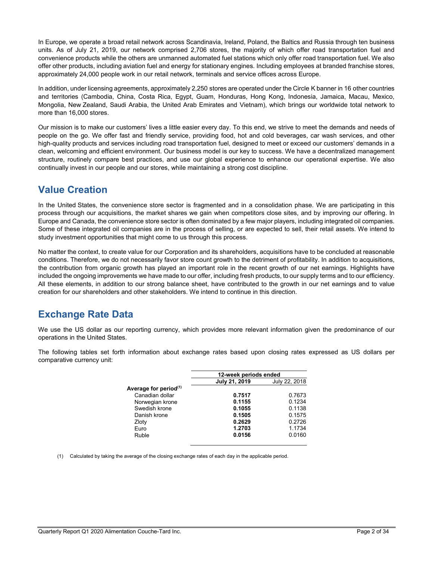In Europe, we operate a broad retail network across Scandinavia, Ireland, Poland, the Baltics and Russia through ten business units. As of July 21, 2019, our network comprised 2,706 stores, the majority of which offer road transportation fuel and convenience products while the others are unmanned automated fuel stations which only offer road transportation fuel. We also offer other products, including aviation fuel and energy for stationary engines. Including employees at branded franchise stores, approximately 24,000 people work in our retail network, terminals and service offices across Europe.

In addition, under licensing agreements, approximately 2,250 stores are operated under the Circle K banner in 16 other countries and territories (Cambodia, China, Costa Rica, Egypt, Guam, Honduras, Hong Kong, Indonesia, Jamaica, Macau, Mexico, Mongolia, New Zealand, Saudi Arabia, the United Arab Emirates and Vietnam), which brings our worldwide total network to more than 16,000 stores.

Our mission is to make our customers' lives a little easier every day. To this end, we strive to meet the demands and needs of people on the go. We offer fast and friendly service, providing food, hot and cold beverages, car wash services, and other high-quality products and services including road transportation fuel, designed to meet or exceed our customers' demands in a clean, welcoming and efficient environment. Our business model is our key to success. We have a decentralized management structure, routinely compare best practices, and use our global experience to enhance our operational expertise. We also continually invest in our people and our stores, while maintaining a strong cost discipline.

# **Value Creation**

In the United States, the convenience store sector is fragmented and in a consolidation phase. We are participating in this process through our acquisitions, the market shares we gain when competitors close sites, and by improving our offering. In Europe and Canada, the convenience store sector is often dominated by a few major players, including integrated oil companies. Some of these integrated oil companies are in the process of selling, or are expected to sell, their retail assets. We intend to study investment opportunities that might come to us through this process.

No matter the context, to create value for our Corporation and its shareholders, acquisitions have to be concluded at reasonable conditions. Therefore, we do not necessarily favor store count growth to the detriment of profitability. In addition to acquisitions, the contribution from organic growth has played an important role in the recent growth of our net earnings. Highlights have included the ongoing improvements we have made to our offer, including fresh products, to our supply terms and to our efficiency. All these elements, in addition to our strong balance sheet, have contributed to the growth in our net earnings and to value creation for our shareholders and other stakeholders. We intend to continue in this direction.

# **Exchange Rate Data**

We use the US dollar as our reporting currency, which provides more relevant information given the predominance of our operations in the United States.

The following tables set forth information about exchange rates based upon closing rates expressed as US dollars per comparative currency unit:

|                                   | 12-week periods ended |               |
|-----------------------------------|-----------------------|---------------|
|                                   | July 21, 2019         | July 22, 2018 |
| Average for period <sup>(1)</sup> |                       |               |
| Canadian dollar                   | 0.7517                | 0.7673        |
| Norwegian krone                   | 0.1155                | 0.1234        |
| Swedish krone                     | 0.1055                | 0.1138        |
| Danish krone                      | 0.1505                | 0.1575        |
| Zloty                             | 0.2629                | 0.2726        |
| Euro                              | 1.2703                | 1.1734        |
| Ruble                             | 0.0156                | 0.0160        |
|                                   |                       |               |

(1) Calculated by taking the average of the closing exchange rates of each day in the applicable period.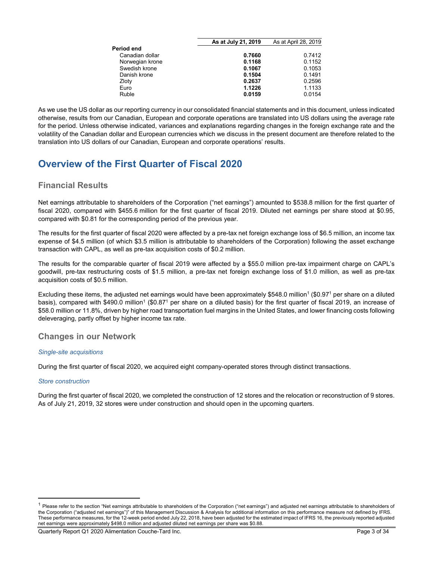|                 | As at July 21, 2019 | As at April 28, 2019 |
|-----------------|---------------------|----------------------|
| Period end      |                     |                      |
| Canadian dollar | 0.7660              | 0.7412               |
| Norwegian krone | 0.1168              | 0.1152               |
| Swedish krone   | 0.1067              | 0.1053               |
| Danish krone    | 0.1504              | 0.1491               |
| Zloty           | 0.2637              | 0.2596               |
| Euro            | 1.1226              | 1.1133               |
| Ruble           | 0.0159              | 0.0154               |
|                 |                     |                      |

As we use the US dollar as our reporting currency in our consolidated financial statements and in this document, unless indicated otherwise, results from our Canadian, European and corporate operations are translated into US dollars using the average rate for the period. Unless otherwise indicated, variances and explanations regarding changes in the foreign exchange rate and the volatility of the Canadian dollar and European currencies which we discuss in the present document are therefore related to the translation into US dollars of our Canadian, European and corporate operations' results.

# **Overview of the First Quarter of Fiscal 2020**

# **Financial Results**

Net earnings attributable to shareholders of the Corporation ("net earnings") amounted to \$538.8 million for the first quarter of fiscal 2020, compared with \$455.6 million for the first quarter of fiscal 2019. Diluted net earnings per share stood at \$0.95, compared with \$0.81 for the corresponding period of the previous year.

The results for the first quarter of fiscal 2020 were affected by a pre-tax net foreign exchange loss of \$6.5 million, an income tax expense of \$4.5 million (of which \$3.5 million is attributable to shareholders of the Corporation) following the asset exchange transaction with CAPL, as well as pre-tax acquisition costs of \$0.2 million.

The results for the comparable quarter of fiscal 2019 were affected by a \$55.0 million pre-tax impairment charge on CAPL's goodwill, pre-tax restructuring costs of \$1.5 million, a pre-tax net foreign exchange loss of \$1.0 million, as well as pre-tax acquisition costs of \$0.5 million.

Excluding these items, the adjusted net earnings would have been approximately \$548.0 million<sup>1</sup> (\$0.97<sup>1</sup> per share on a diluted basis), compared with \$490.0 million<sup>1</sup> (\$0.87<sup>1</sup> per share on a diluted basis) for the first quarter of fiscal 2019, an increase of \$58.0 million or 11.8%, driven by higher road transportation fuel margins in the United States, and lower financing costs following deleveraging, partly offset by higher income tax rate.

# **Changes in our Network**

## *Single-site acquisitions*

During the first quarter of fiscal 2020, we acquired eight company-operated stores through distinct transactions.

## *Store construction*

 $\overline{a}$ 

During the first quarter of fiscal 2020, we completed the construction of 12 stores and the relocation or reconstruction of 9 stores. As of July 21, 2019, 32 stores were under construction and should open in the upcoming quarters.

<sup>&</sup>lt;sup>1</sup> Please refer to the section "Net earnings attributable to shareholders of the Corporation ("net earnings") and adjusted net earnings attributable to shareholders of the Corporation ("adjusted net earnings")" of this Management Discussion & Analysis for additional information on this performance measure not defined by IFRS. These performance measures, for the 12-week period ended July 22, 2018, have been adjusted for the estimated impact of IFRS 16, the previously reported adjusted net earnings were approximately \$498.0 million and adjusted diluted net earnings per share was \$0.88.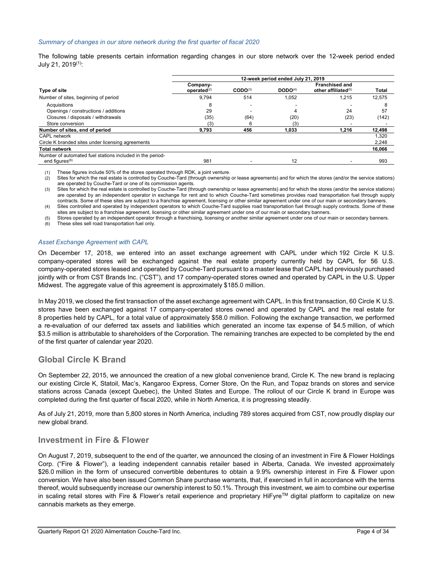#### *Summary of changes in our store network during the first quarter of fiscal 2020*

The following table presents certain information regarding changes in our store network over the 12-week period ended July 21, 2019(1):

|                                                                                         | 12-week period ended July 21, 2019 |                     |                     |                                                 |        |  |  |
|-----------------------------------------------------------------------------------------|------------------------------------|---------------------|---------------------|-------------------------------------------------|--------|--|--|
| <b>Type of site</b>                                                                     | Company-<br>operated $^{(2)}$      | $\text{CODO}^{(3)}$ | DODO <sup>(4)</sup> | <b>Franchised and</b><br>other affiliated $(5)$ | Total  |  |  |
| Number of sites, beginning of period                                                    | 9.794                              | 514                 | 1,052               | 1,215                                           | 12,575 |  |  |
| Acquisitions                                                                            | 8                                  |                     |                     |                                                 |        |  |  |
| Openings / constructions / additions                                                    | 29                                 |                     | 4                   | 24                                              | 57     |  |  |
| Closures / disposals / withdrawals                                                      | (35)                               | (64)                | (20)                | (23)                                            | (142)  |  |  |
| Store conversion                                                                        | (3)                                | 6                   | (3)                 |                                                 |        |  |  |
| Number of sites, end of period                                                          | 9.793                              | 456                 | 1.033               | 1.216                                           | 12,498 |  |  |
| <b>CAPL network</b>                                                                     |                                    |                     |                     |                                                 | 1,320  |  |  |
| Circle K branded sites under licensing agreements                                       |                                    |                     |                     |                                                 | 2,248  |  |  |
| <b>Total network</b>                                                                    |                                    |                     |                     |                                                 | 16,066 |  |  |
| Number of automated fuel stations included in the period-<br>end figures <sup>(6)</sup> | 981                                |                     | 12                  |                                                 | 993    |  |  |

(1) These figures include 50% of the stores operated through RDK, a joint venture.

(2) Sites for which the real estate is controlled by Couche-Tard (through ownership or lease agreements) and for which the stores (and/or the service stations) are operated by Couche-Tard or one of its commission agents.

(3) Sites for which the real estate is controlled by Couche-Tard (through ownership or lease agreements) and for which the stores (and/or the service stations) are operated by an independent operator in exchange for rent and to which Couche-Tard sometimes provides road transportation fuel through supply contracts. Some of these sites are subject to a franchise agreement, licensing or other similar agreement under one of our main or secondary banners. (4) Sites controlled and operated by independent operators to which Couche-Tard supplies road transportation fuel through supply contracts. Some of these

sites are subject to a franchise agreement, licensing or other similar agreement under one of our main or secondary banners.

(5) Stores operated by an independent operator through a franchising, licensing or another similar agreement under one of our main or secondary banners.

(6) These sites sell road transportation fuel only.

#### *Asset Exchange Agreement with CAPL*

On December 17, 2018, we entered into an asset exchange agreement with CAPL under which 192 Circle K U.S. company-operated stores will be exchanged against the real estate property currently held by CAPL for 56 U.S. company-operated stores leased and operated by Couche-Tard pursuant to a master lease that CAPL had previously purchased jointly with or from CST Brands Inc. ("CST"), and 17 company-operated stores owned and operated by CAPL in the U.S. Upper Midwest. The aggregate value of this agreement is approximately \$185.0 million.

In May 2019, we closed the first transaction of the asset exchange agreement with CAPL. In this first transaction, 60 Circle K U.S. stores have been exchanged against 17 company-operated stores owned and operated by CAPL and the real estate for 8 properties held by CAPL, for a total value of approximately \$58.0 million. Following the exchange transaction, we performed a re-evaluation of our deferred tax assets and liabilities which generated an income tax expense of \$4.5 million, of which \$3.5 million is attributable to shareholders of the Corporation. The remaining tranches are expected to be completed by the end of the first quarter of calendar year 2020.

# **Global Circle K Brand**

On September 22, 2015, we announced the creation of a new global convenience brand, Circle K. The new brand is replacing our existing Circle K, Statoil, Mac's, Kangaroo Express, Corner Store, On the Run, and Topaz brands on stores and service stations across Canada (except Quebec), the United States and Europe. The rollout of our Circle K brand in Europe was completed during the first quarter of fiscal 2020, while in North America, it is progressing steadily.

As of July 21, 2019, more than 5,800 stores in North America, including 789 stores acquired from CST, now proudly display our new global brand.

# **Investment in Fire & Flower**

On August 7, 2019, subsequent to the end of the quarter, we announced the closing of an investment in Fire & Flower Holdings Corp. ("Fire & Flower"), a leading independent cannabis retailer based in Alberta, Canada. We invested approximately \$26.0 million in the form of unsecured convertible debentures to obtain a 9.9% ownership interest in Fire & Flower upon conversion. We have also been issued Common Share purchase warrants, that, if exercised in full in accordance with the terms thereof, would subsequently increase our ownership interest to 50.1%. Through this investment, we aim to combine our expertise in scaling retail stores with Fire & Flower's retail experience and proprietary HiFyre<sup>TM</sup> digital platform to capitalize on new cannabis markets as they emerge.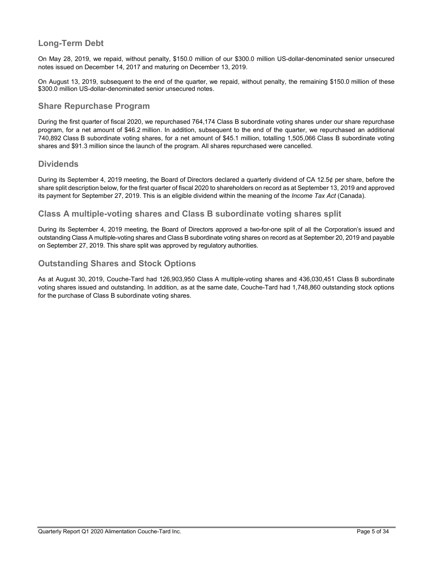# **Long-Term Debt**

On May 28, 2019, we repaid, without penalty, \$150.0 million of our \$300.0 million US-dollar-denominated senior unsecured notes issued on December 14, 2017 and maturing on December 13, 2019.

On August 13, 2019, subsequent to the end of the quarter, we repaid, without penalty, the remaining \$150.0 million of these \$300.0 million US-dollar-denominated senior unsecured notes.

# **Share Repurchase Program**

During the first quarter of fiscal 2020, we repurchased 764,174 Class B subordinate voting shares under our share repurchase program, for a net amount of \$46.2 million. In addition, subsequent to the end of the quarter, we repurchased an additional 740,892 Class B subordinate voting shares, for a net amount of \$45.1 million, totalling 1,505,066 Class B subordinate voting shares and \$91.3 million since the launch of the program. All shares repurchased were cancelled.

# **Dividends**

During its September 4, 2019 meeting, the Board of Directors declared a quarterly dividend of CA 12.5¢ per share, before the share split description below, for the first quarter of fiscal 2020 to shareholders on record as at September 13, 2019 and approved its payment for September 27, 2019. This is an eligible dividend within the meaning of the *Income Tax Act* (Canada).

# **Class A multiple-voting shares and Class B subordinate voting shares split**

During its September 4, 2019 meeting, the Board of Directors approved a two-for-one split of all the Corporation's issued and outstanding Class A multiple-voting shares and Class B subordinate voting shares on record as at September 20, 2019 and payable on September 27, 2019. This share split was approved by regulatory authorities.

# **Outstanding Shares and Stock Options**

As at August 30, 2019, Couche-Tard had 126,903,950 Class A multiple-voting shares and 436,030,451 Class B subordinate voting shares issued and outstanding. In addition, as at the same date, Couche-Tard had 1,748,860 outstanding stock options for the purchase of Class B subordinate voting shares.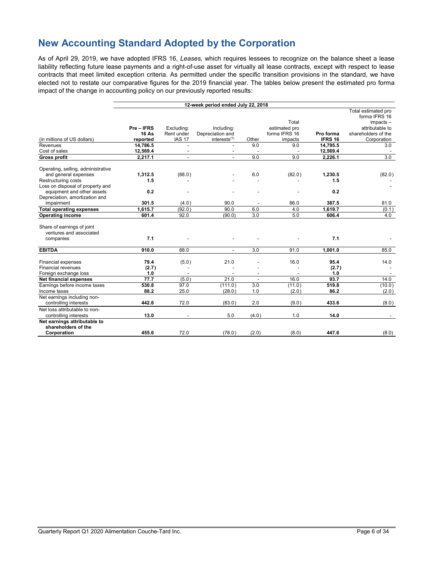# **New Accounting Standard Adopted by the Corporation**

As of April 29, 2019, we have adopted IFRS 16, *Leases,* which requires lessees to recognize on the balance sheet a lease liability reflecting future lease payments and a right-of-use asset for virtually all lease contracts, except with respect to lease contracts that meet limited exception criteria. As permitted under the specific transition provisions in the standard, we have elected not to restate our comparative figures for the 2019 financial year. The tables below present the estimated pro forma impact of the change in accounting policy on our previously reported results:

|                                                                                                  |                                      |                                           | 12-week period ended July 22, 2018                         |                          |                                                    |                      |                                                                                                              |
|--------------------------------------------------------------------------------------------------|--------------------------------------|-------------------------------------------|------------------------------------------------------------|--------------------------|----------------------------------------------------|----------------------|--------------------------------------------------------------------------------------------------------------|
| (in millions of US dollars)                                                                      | Pre-IFRS<br><b>16 As</b><br>reported | Excluding:<br>Rent under<br><b>IAS 17</b> | Including:<br>Depreciation and<br>interests <sup>(1)</sup> | Other                    | Total<br>estimated pro<br>forma IFRS 16<br>impacts | Pro forma<br>IFRS 16 | Total estimated pro<br>forma IFRS 16<br>$impacks -$<br>attributable to<br>shareholders of the<br>Corporation |
| Revenues                                                                                         | 14,786.5                             |                                           |                                                            | 9.0                      | 9.0                                                | 14,795.5             | 3.0                                                                                                          |
| Cost of sales                                                                                    | 12,569.4                             |                                           |                                                            |                          |                                                    | 12,569.4             |                                                                                                              |
| <b>Gross profit</b>                                                                              | 2,217.1                              |                                           |                                                            | 9.0                      | 9.0                                                | 2,226.1              | 3.0                                                                                                          |
| Operating, selling, administrative<br>and general expenses                                       | 1,312.5                              | (88.0)                                    |                                                            | 6.0                      | (82.0)                                             | 1,230.5              | (82.0)                                                                                                       |
| Restructuring costs                                                                              | 1.5                                  |                                           |                                                            |                          |                                                    | 1.5                  |                                                                                                              |
| Loss on disposal of property and<br>equipment and other assets<br>Depreciation, amortization and | 0.2                                  |                                           |                                                            |                          |                                                    | 0.2                  |                                                                                                              |
| impairment                                                                                       | 301.5                                | (4.0)                                     | 90.0                                                       |                          | 86.0                                               | 387.5                | 81.0                                                                                                         |
| <b>Total operating expenses</b>                                                                  | 1.615.7                              | (92.0)                                    | 90.0                                                       | 6.0                      | 4.0                                                | 1.619.7              | (0.1)                                                                                                        |
| <b>Operating income</b>                                                                          | 601.4                                | 92.0                                      | (90.0)                                                     | 3.0                      | 5.0                                                | 606.4                | 4.0                                                                                                          |
| Share of earnings of joint<br>ventures and associated<br>companies                               | 7.1                                  |                                           |                                                            |                          |                                                    | 7.1                  |                                                                                                              |
| <b>EBITDA</b>                                                                                    | 910.0                                | 88.0                                      |                                                            | 3.0                      | 91.0                                               | 1,001.0              | 85.0                                                                                                         |
| <b>Financial expenses</b><br><b>Financial revenues</b><br>Foreign exchange loss                  | 79.4<br>(2.7)<br>1.0                 | (5.0)<br>$\overline{\phantom{a}}$         | 21.0                                                       | ٠                        | 16.0                                               | 95.4<br>(2.7)<br>1.0 | 14.0                                                                                                         |
| Net financial expenses                                                                           | 77.7                                 | (5.0)                                     | 21.0                                                       | $\overline{\phantom{a}}$ | 16.0                                               | 93.7                 | 14.0                                                                                                         |
| Earnings before income taxes<br>Income taxes                                                     | 530.8<br>88.2                        | 97.0<br>25.0                              | (111.0)<br>(28.0)                                          | 3.0<br>1.0               | (11.0)<br>(2.0)                                    | 519.8<br>86.2        | (10.0)<br>(2.0)                                                                                              |
| Net earnings including non-<br>controlling interests                                             | 442.6                                | 72.0                                      | (83.0)                                                     | 2.0                      | (9.0)                                              | 433.6                | (8.0)                                                                                                        |
| Net loss attributable to non-<br>controlling interests                                           | 13.0                                 |                                           | 5.0                                                        | (4.0)                    | 1.0                                                | 14.0                 |                                                                                                              |
| Net earnings attributable to<br>shareholders of the<br>Corporation                               | 455.6                                | 72.0                                      | (78.0)                                                     | (2.0)                    | (8.0)                                              | 447.6                | (8.0)                                                                                                        |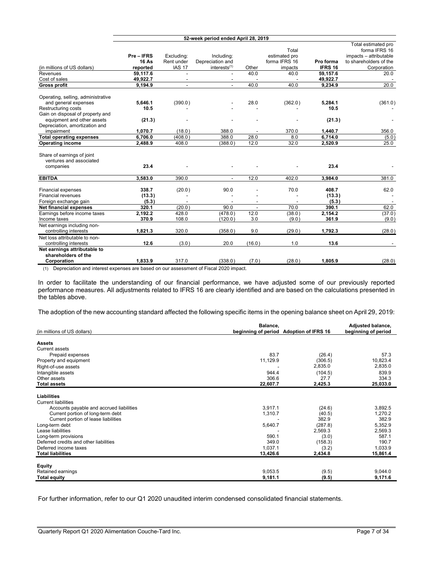|                                                     |              |               |                          |                          |               |                | Total estimated pro    |
|-----------------------------------------------------|--------------|---------------|--------------------------|--------------------------|---------------|----------------|------------------------|
|                                                     |              |               |                          |                          | Total         |                | forma IFRS 16          |
|                                                     | Pre-IFRS     | Excluding:    | Including:               |                          | estimated pro |                | impacts - attributable |
|                                                     | <b>16 As</b> | Rent under    | Depreciation and         |                          | forma IFRS 16 | Pro forma      | to shareholders of the |
| (in millions of US dollars)                         | reported     | <b>IAS 17</b> | interests <sup>(1)</sup> | Other                    | impacts       | <b>IFRS 16</b> | Corporation            |
| Revenues                                            | 59,117.6     |               | $\overline{\phantom{a}}$ | 40.0                     | 40.0          | 59,157.6       | 20.0                   |
| Cost of sales                                       | 49,922.7     |               |                          |                          |               | 49,922.7       |                        |
| <b>Gross profit</b>                                 | 9,194.9      |               |                          | 40.0                     | 40.0          | 9,234.9        | 20.0                   |
| Operating, selling, administrative                  |              |               |                          |                          |               |                |                        |
| and general expenses                                | 5,646.1      | (390.0)       |                          | 28.0                     | (362.0)       | 5,284.1        | (361.0)                |
| Restructuring costs                                 | 10.5         |               |                          |                          |               | 10.5           |                        |
| Gain on disposal of property and                    |              |               |                          |                          |               |                |                        |
| equipment and other assets                          | (21.3)       |               |                          |                          |               | (21.3)         |                        |
| Depreciation, amortization and                      |              |               |                          |                          |               |                |                        |
| impairment                                          | 1,070.7      | (18.0)        | 388.0                    |                          | 370.0         | 1,440.7        | 356.0                  |
| <b>Total operating expenses</b>                     | 6,706.0      | (408.0)       | 388.0                    | 28.0                     | 8.0           | 6,714.0        | (5.0)                  |
| <b>Operating income</b>                             | 2,488.9      | 408.0         | (388.0)                  | 12.0                     | 32.0          | 2,520.9        | 25.0                   |
| Share of earnings of joint                          |              |               |                          |                          |               |                |                        |
| ventures and associated                             |              |               |                          |                          |               |                |                        |
| companies                                           | 23.4         |               |                          |                          |               | 23.4           |                        |
| <b>EBITDA</b>                                       | 3,583.0      | 390.0         | $\blacksquare$           | 12.0                     | 402.0         | 3,984.0        | 381.0                  |
|                                                     |              |               |                          |                          |               |                |                        |
| Financial expenses                                  | 338.7        | (20.0)        | 90.0                     |                          | 70.0          | 408.7          | 62.0                   |
| Financial revenues                                  | (13.3)       |               |                          |                          |               | (13.3)         |                        |
| Foreign exchange gain                               | (5.3)        |               |                          |                          |               | (5.3)          |                        |
| <b>Net financial expenses</b>                       | 320.1        | (20.0)        | 90.0                     | $\overline{\phantom{a}}$ | 70.0          | 390.1          | 62.0                   |
| Earnings before income taxes                        | 2,192.2      | 428.0         | (478.0)                  | 12.0                     | (38.0)        | 2,154.2        | (37.0)                 |
| Income taxes                                        | 370.9        | 108.0         | (120.0)                  | 3.0                      | (9.0)         | 361.9          | (9.0)                  |
| Net earnings including non-                         |              |               |                          |                          |               |                |                        |
| controlling interests                               | 1,821.3      | 320.0         | (358.0)                  | 9.0                      | (29.0)        | 1,792.3        | (28.0)                 |
| Net loss attributable to non-                       |              |               |                          |                          |               |                |                        |
| controlling interests                               | 12.6         | (3.0)         | 20.0                     | (16.0)                   | 1.0           | 13.6           |                        |
| Net earnings attributable to<br>shareholders of the |              |               |                          |                          |               |                |                        |
| Corporation                                         | 1,833.9      | 317.0         | (338.0)                  | (7.0)                    | (28.0)        | 1,805.9        | (28.0)                 |

(1) Depreciation and interest expenses are based on our assessment of Fiscal 2020 impact.

In order to facilitate the understanding of our financial performance, we have adjusted some of our previously reported performance measures. All adjustments related to IFRS 16 are clearly identified and are based on the calculations presented in the tables above.

The adoption of the new accounting standard affected the following specific items in the opening balance sheet on April 29, 2019:

|                                          | Balance,            |                            | Adjusted balance,   |
|------------------------------------------|---------------------|----------------------------|---------------------|
| (in millions of US dollars)              | beginning of period | <b>Adoption of IFRS 16</b> | beginning of period |
| <b>Assets</b>                            |                     |                            |                     |
| Current assets                           |                     |                            |                     |
| Prepaid expenses                         | 83.7                | (26.4)                     | 57.3                |
| Property and equipment                   | 11,129.9            | (306.5)                    | 10,823.4            |
| Right-of-use assets                      |                     | 2,835.0                    | 2,835.0             |
| Intangible assets                        | 944.4               | (104.5)                    | 839.9               |
| Other assets                             | 306.6               | 27.7                       | 334.3               |
| <b>Total assets</b>                      | 22,607.7            | 2,425.3                    | 25,033.0            |
|                                          |                     |                            |                     |
| Liabilities                              |                     |                            |                     |
| <b>Current liabilities</b>               |                     |                            |                     |
| Accounts payable and accrued liabilities | 3,917.1             | (24.6)                     | 3,892.5             |
| Current portion of long-term debt        | 1,310.7             | (40.5)                     | 1,270.2             |
| Current portion of lease liabilities     |                     | 382.9                      | 382.9               |
| Long-term debt                           | 5,640.7             | (287.8)                    | 5,352.9             |
| Lease liabilities                        |                     | 2,569.3                    | 2,569.3             |
| Long-term provisions                     | 590.1               | (3.0)                      | 587.1               |
| Deferred credits and other liabilities   | 349.0               | (158.3)                    | 190.7               |
| Deferred income taxes                    | 1.037.1             | (3.2)                      | 1,033.9             |
| <b>Total liabilities</b>                 | 13,426.6            | 2,434.8                    | 15,861.4            |
|                                          |                     |                            |                     |
| Equity                                   |                     |                            |                     |
| Retained earnings<br><b>Total equity</b> | 9,053.5<br>9,181.1  | (9.5)<br>(9.5)             | 9,044.0<br>9,171.6  |
|                                          |                     |                            |                     |

For further information, refer to our Q1 2020 unaudited interim condensed consolidated financial statements.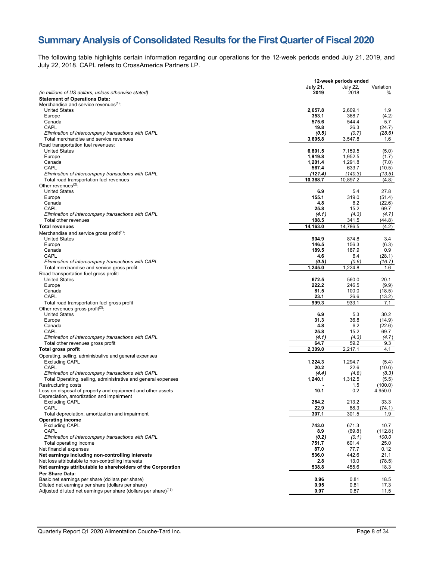# **Summary Analysis of Consolidated Results for the First Quarter of Fiscal 2020**

The following table highlights certain information regarding our operations for the 12-week periods ended July 21, 2019, and July 22, 2018. CAPL refers to CrossAmerica Partners LP.

|                                                                             |                 | 12-week periods ended |                 |
|-----------------------------------------------------------------------------|-----------------|-----------------------|-----------------|
|                                                                             | <b>July 21,</b> | July 22,              | Variation       |
| (in millions of US dollars, unless otherwise stated)                        | 2019            | 2018                  | %               |
| <b>Statement of Operations Data:</b>                                        |                 |                       |                 |
| Merchandise and service revenues <sup>(1)</sup> :                           |                 |                       |                 |
| <b>United States</b>                                                        | 2,657.8         | 2,609.1               | 1.9             |
| Europe                                                                      | 353.1<br>575.6  | 368.7<br>544.4        | (4.2)           |
| Canada<br>CAPL                                                              | 19.8            | 26.3                  | 5.7<br>(24.7)   |
| Elimination of intercompany transactions with CAPL                          | (0.5)           | (0.7)                 | (28.6)          |
| Total merchandise and service revenues                                      | 3,605.8         | 3,547.8               | 1.6             |
| Road transportation fuel revenues:                                          |                 |                       |                 |
| <b>United States</b>                                                        | 6,801.5         | 7,159.5               | (5.0)           |
| Europe                                                                      | 1,919.8         | 1,952.5               | (1.7)           |
| Canada                                                                      | 1,201.4         | 1,291.8               | (7.0)           |
| CAPL                                                                        | 567.4           | 633.7                 | (10.5)          |
| Elimination of intercompany transactions with CAPL                          | (121.4)         | (140.3)               | (13.5)          |
| Total road transportation fuel revenues                                     | 10,368.7        | 10,897.2              | (4.8)           |
| Other revenues $(2)$ :                                                      |                 |                       |                 |
| <b>United States</b>                                                        | 6.9             | 5.4                   | 27.8            |
| Europe                                                                      | 155.1           | 319.0                 | (51.4)          |
| Canada                                                                      | 4.8             | 6.2                   | (22.6)          |
| CAPL                                                                        | 25.8            | 15.2                  | 69.7            |
| Elimination of intercompany transactions with CAPL                          | (4.1)           | (4.3)                 | (4.7)           |
| Total other revenues                                                        | 188.5           | 341.5                 | (44.8)          |
| <b>Total revenues</b>                                                       | 14,163.0        | 14,786.5              | (4.2)           |
| Merchandise and service gross profit <sup><math>(1)</math></sup> .          |                 |                       |                 |
| <b>United States</b>                                                        | 904.9           | 874.8                 | 3.4             |
| Europe                                                                      | 146.5           | 156.3                 | (6.3)           |
| Canada                                                                      | 189.5           | 187.9                 | 0.9             |
| CAPL                                                                        | 4.6             | 6.4                   | (28.1)          |
| Elimination of intercompany transactions with CAPL                          | (0.5)           | (0.6)                 | (16.7)          |
| Total merchandise and service gross profit                                  | 1,245.0         | 1,224.8               | 1.6             |
| Road transportation fuel gross profit:                                      |                 |                       |                 |
| <b>United States</b>                                                        | 672.5           | 560.0                 | 20.1            |
| Europe                                                                      | 222.2           | 246.5                 | (9.9)           |
| Canada                                                                      | 81.5            | 100.0                 | (18.5)          |
| CAPL                                                                        | 23.1            | 26.6                  | (13.2)          |
| Total road transportation fuel gross profit                                 | 999.3           | 933.1                 | 7.1             |
| Other revenues gross profit $(2)$ :                                         |                 |                       |                 |
| <b>United States</b>                                                        | 6.9             | 5.3                   | 30.2            |
| Europe                                                                      | 31.3            | 36.8                  | (14.9)          |
| Canada<br>CAPL                                                              | 4.8             | 6.2<br>15.2           | (22.6)          |
| Elimination of intercompany transactions with CAPL                          | 25.8<br>(4.1)   | (4.3)                 | 69.7<br>(4.7)   |
| Total other revenues gross profit                                           | 64.7            | 59.2                  | 9.3             |
| <b>Total gross profit</b>                                                   | 2,309.0         | 2,217.1               | 4.1             |
|                                                                             |                 |                       |                 |
| Operating, selling, administrative and general expenses                     | 1,224.3         | 1,294.7               |                 |
| <b>Excluding CAPL</b><br>CAPL                                               | 20.2            | 22.6                  | (5.4)<br>(10.6) |
| Elimination of intercompany transactions with CAPL                          | (4.4)           | (4.8)                 | (8.3)           |
| Total Operating, selling, administrative and general expenses               | 1,240.1         | 1,312.5               | (5.5)           |
| Restructuring costs                                                         |                 | 1.5                   | (100.0)         |
| Loss on disposal of property and equipment and other assets                 | 10.1            | 0.2                   | 4,950.0         |
| Depreciation, amortization and impairment                                   |                 |                       |                 |
| <b>Excluding CAPL</b>                                                       | 284.2           | 213.2                 | 33.3            |
| CAPL                                                                        | 22.9            | 88.3                  | (74.1)          |
| Total depreciation, amortization and impairment                             | 307.1           | 301.5                 | 1.9             |
| <b>Operating income</b>                                                     |                 |                       |                 |
| <b>Excluding CAPL</b>                                                       | 743.0           | 671.3                 | 10.7            |
| CAPL                                                                        | 8.9             | (69.8)                | (112.8)         |
| Elimination of intercompany transactions with CAPL                          | (0.2)           | (0.1)                 | 100.0           |
| Total operating income                                                      | 751.7           | 601.4                 | 25.0            |
| Net financial expenses                                                      | 87.0            | 77.7                  | 0.12            |
| Net earnings including non-controlling interests                            | 536.0           | 442.6                 | 21.1            |
| Net loss attributable to non-controlling interests                          | 2.8             | 13.0                  | (78.5)          |
| Net earnings attributable to shareholders of the Corporation                | 538.8           | 455.6                 | 18.3            |
| Per Share Data:                                                             |                 |                       |                 |
| Basic net earnings per share (dollars per share)                            | 0.96            | 0.81                  | 18.5            |
| Diluted net earnings per share (dollars per share)                          | 0.95            | 0.81                  | 17.3            |
| Adjusted diluted net earnings per share (dollars per share) <sup>(13)</sup> | 0.97            | 0.87                  | 11.5            |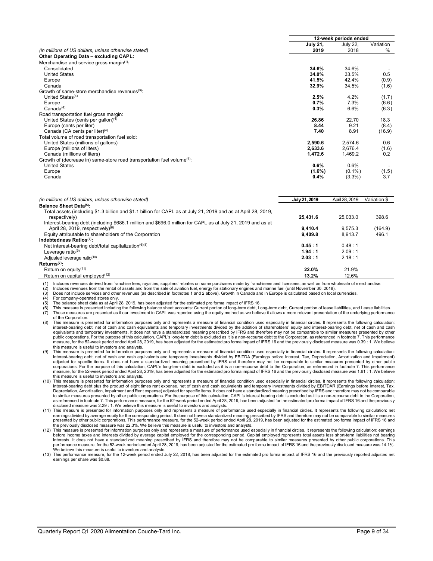|                                                                                     | 12-week periods ended |                 |           |  |  |
|-------------------------------------------------------------------------------------|-----------------------|-----------------|-----------|--|--|
|                                                                                     | <b>July 21,</b>       | <b>July 22.</b> | Variation |  |  |
| (in millions of US dollars, unless otherwise stated)                                | 2019                  | 2018            | %         |  |  |
| Other Operating Data - excluding CAPL:                                              |                       |                 |           |  |  |
| Merchandise and service gross margin <sup>(1)</sup> :                               |                       |                 |           |  |  |
| Consolidated                                                                        | 34.6%                 | 34.6%           |           |  |  |
| <b>United States</b>                                                                | 34.0%                 | 33.5%           | 0.5       |  |  |
| Europe                                                                              | 41.5%                 | 42.4%           | (0.9)     |  |  |
| Canada                                                                              | 32.9%                 | 34.5%           | (1.6)     |  |  |
| Growth of same-store merchandise revenues <sup>(3)</sup> :                          |                       |                 |           |  |  |
| United States $(4)$                                                                 | 2.5%                  | 4.2%            | (1.7)     |  |  |
| Europe                                                                              | 0.7%                  | 7.3%            | (6.6)     |  |  |
| Canada <sup>(4)</sup>                                                               | 0.3%                  | 6.6%            | (6.3)     |  |  |
| Road transportation fuel gross margin:                                              |                       |                 |           |  |  |
| United States (cents per gallon) <sup>(4)</sup>                                     | 26.86                 | 22.70           | 18.3      |  |  |
| Europe (cents per liter)                                                            | 8.44                  | 9.21            | (8.4)     |  |  |
| Canada (CA cents per liter) $(4)$                                                   | 7.40                  | 8.91            | (16.9)    |  |  |
| Total volume of road transportation fuel sold:                                      |                       |                 |           |  |  |
| United States (millions of gallons)                                                 | 2,590.6               | 2,574.6         | 0.6       |  |  |
| Europe (millions of liters)                                                         | 2,633.6               | 2.676.4         | (1.6)     |  |  |
| Canada (millions of liters)                                                         | 1,472.6               | 1,469.2         | 0.2       |  |  |
| Growth of (decrease in) same-store road transportation fuel volume <sup>(4)</sup> : |                       |                 |           |  |  |
| <b>United States</b>                                                                | 0.6%                  | 0.6%            |           |  |  |
| Europe                                                                              | $(1.6\%)$             | $(0.1\%)$       | (1.5)     |  |  |
| Canada                                                                              | 0.4%                  | $(3.3\%)$       | 3.7       |  |  |

| (in millions of US dollars, unless otherwise stated)                                                                                              | July 21, 2019 | April 28, 2019 | Variation \$ |
|---------------------------------------------------------------------------------------------------------------------------------------------------|---------------|----------------|--------------|
| Balance Sheet Data(5):                                                                                                                            |               |                |              |
| Total assets (including \$1.3 billion and \$1.1 billion for CAPL as at July 21, 2019 and as at April 28, 2019,<br>respectively)                   | 25.431.6      | 25.033.0       | 398.6        |
| Interest-bearing debt (including \$686.1 million and \$696.0 million for CAPL as at July 21, 2019 and as at<br>April 28, 2019, respectively $(6)$ | 9.410.4       | 9.575.3        | (164.9)      |
| Equity attributable to shareholders of the Corporation                                                                                            | 9.409.8       | 8.913.7        | 496.1        |
| Indebtedness Ratios(7):                                                                                                                           |               |                |              |
| Net interest-bearing debt/total capitalization $(6)(8)$                                                                                           | 0.45:1        | 0.48:1         |              |
| Leverage ratio $(9)$                                                                                                                              | 1.94:1        | 2.09:1         |              |
| Adjusted leverage ratio <sup>(10)</sup>                                                                                                           | 2.03:1        | 2.18:1         |              |
| $Returns^{(7)}$ :                                                                                                                                 |               |                |              |
| Return on equity <sup>(11)</sup>                                                                                                                  | 22.0%         | 21.9%          |              |
| Return on capital employed $(12)$                                                                                                                 | 13.2%         | 12.6%          |              |

(1) Includes revenues derived from franchise fees, royalties, suppliers' rebates on some purchases made by franchisees and licensees, as well as from wholesale of merchandise.

(2) Includes revenues from the rental of assets and from the sale of aviation fuel, energy for stationary engines and marine fuel (until November 30, 2018).<br>
(3) Does not include services and other revenues (as described i

Does not include services and other revenues (as described in footnotes 1 and 2 above). Growth in Canada and in Europe is calculated based on local currencies.

For company-operated stores only.

(5) The balance sheet data as at April 28, 2019, has been adjusted for the estimated pro forma impact of IFRS 16.<br>(6) This measure is presented including the following balance sheet accounts: Current portion of long-term d (6) This measure is presented including the following balance sheet accounts: Current portion of long-term debt, Long-term debt, Current portion of lease liabilities, and Lease liabilities.<br>(7) These measures are presented of the Corporation.

- (8) This measure is presented for information purposes only and represents a measure of financial condition used especially in financial circles. It represents the following calculation: interest-bearing debt, net of cash and cash equivalents and temporary investments divided by the addition of shareholders' equity and interest-bearing debt, net of cash and cash equivalents and temporary investments. It does not have a standardized meaning prescribed by IFRS and therefore may not be comparable to similar measures presented by other public corporations. For the purpose of this calculation, CAPL's long-term debt is excluded as it is a non-recourse debt to the Corporation, as referenced in footnote 7. This performance<br>measure, for the 52-week period end this measure is useful to investors and analysts.
- (9) This measure is presented for information purposes only and represents a measure of financial condition used especially in financial circles. It represents the following calculation: interest-bearing debt, net of cash and cash equivalents and temporary investments divided by EBITDA (Earnings before Interest, Tax, Depreciation, Amortization and Impairment) adjusted for specific items. It does not have a standardized meaning prescribed by IFRS and therefore may not be comparable to similar measures presented by other public<br>corporations. For the purpose of this calculation, C measure, for the 52-week period ended April 28, 2019, has been adjusted for the estimated pro forma impact of IFRS 16 and the previously disclosed measure was 1.61 : 1. We believe this measure is useful to investors and analysts.
- (10) This measure is presented for information purposes only and represents a measure of financial condition used especially in financial circles. It represents the following calculation: interest-bearing debt plus the product of eight times rent expense, net of cash and cash equivalents and temporary investments divided by EBITDAR (Earnings before Interest, Tax,<br>Depreciation, Amortization, Impairment and R to similar measures presented by other public corporations. For the purpose of this calculation, CAPL's interest bearing debt is excluded as it is a non-recourse debt to the Corporation,<br>as referenced in footnote 7. This p disclosed measure was 2.29 : 1. We believe this measure is useful to investors and analysts.
- (11) This measure is presented for information purposes only and represents a measure of performance used especially in financial circles. It represents the following calculation: net<br>earnings divided by average equity for
- (12) This measure is presented for information purposes only and represents a measure of performance used especially in financial circles. It represents the following calculation: earnings before income taxes and interests divided by average capital employed for the corresponding period. Capital employed represents total assets less short-term liabilities not bearing<br>interests. It does not have a standardize performance measure, for the 52-week period ended April 28, 2019, has been adjusted for the estimated pro forma impact of IFRS 16 and the previously disclosed measure was 14.1%. We believe this measure is useful to investors and analysts.
- (13) This performance measure, for the 12-week period ended July 22, 2018, has been adjusted for the estimated pro forma impact of IFRS 16 and the previously reported adjusted net earnings per share was \$0.88.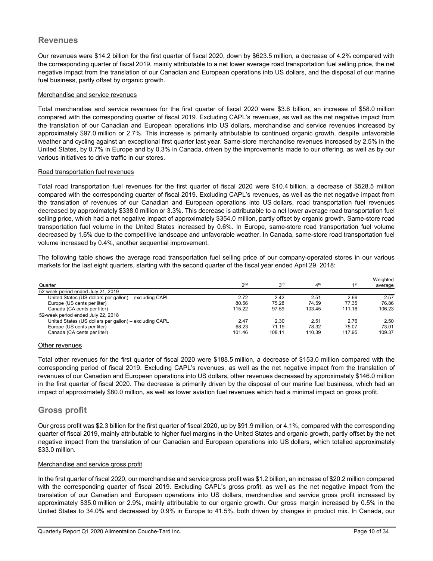# **Revenues**

Our revenues were \$14.2 billion for the first quarter of fiscal 2020, down by \$623.5 million, a decrease of 4.2% compared with the corresponding quarter of fiscal 2019, mainly attributable to a net lower average road transportation fuel selling price, the net negative impact from the translation of our Canadian and European operations into US dollars, and the disposal of our marine fuel business, partly offset by organic growth.

#### Merchandise and service revenues

Total merchandise and service revenues for the first quarter of fiscal 2020 were \$3.6 billion, an increase of \$58.0 million compared with the corresponding quarter of fiscal 2019. Excluding CAPL's revenues, as well as the net negative impact from the translation of our Canadian and European operations into US dollars, merchandise and service revenues increased by approximately \$97.0 million or 2.7%. This increase is primarily attributable to continued organic growth, despite unfavorable weather and cycling against an exceptional first quarter last year. Same-store merchandise revenues increased by 2.5% in the United States, by 0.7% in Europe and by 0.3% in Canada, driven by the improvements made to our offering, as well as by our various initiatives to drive traffic in our stores.

#### Road transportation fuel revenues

Total road transportation fuel revenues for the first quarter of fiscal 2020 were \$10.4 billion, a decrease of \$528.5 million compared with the corresponding quarter of fiscal 2019. Excluding CAPL's revenues, as well as the net negative impact from the translation of revenues of our Canadian and European operations into US dollars, road transportation fuel revenues decreased by approximately \$338.0 million or 3.3%. This decrease is attributable to a net lower average road transportation fuel selling price, which had a net negative impact of approximately \$354.0 million, partly offset by organic growth. Same-store road transportation fuel volume in the United States increased by 0.6%. In Europe, same-store road transportation fuel volume decreased by 1.6% due to the competitive landscape and unfavorable weather. In Canada, same-store road transportation fuel volume increased by 0.4%, another sequential improvement.

The following table shows the average road transportation fuel selling price of our company-operated stores in our various markets for the last eight quarters, starting with the second quarter of the fiscal year ended April 29, 2018:

|                                                        |                 |                 |                 |                 | Weighted |
|--------------------------------------------------------|-----------------|-----------------|-----------------|-----------------|----------|
| Quarter                                                | 2 <sub>nd</sub> | 3 <sup>rd</sup> | 4 <sup>th</sup> | 1 <sub>st</sub> | average  |
| 52-week period ended July 21, 2019                     |                 |                 |                 |                 |          |
| United States (US dollars per gallon) - excluding CAPL | 2.72            | 2.42            | 2.51            | 2.66            | 2.57     |
| Europe (US cents per liter)                            | 80.56           | 75.28           | 74.59           | 77.35           | 76.86    |
| Canada (CA cents per liter)                            | 115.22          | 97.59           | 103.45          | 111.16          | 106.23   |
| 52-week period ended July 22, 2018                     |                 |                 |                 |                 |          |
| United States (US dollars per gallon) - excluding CAPL | 2.47            | 2.30            | 2.51            | 2.76            | 2.50     |
| Europe (US cents per liter)                            | 68.23           | 71.19           | 78.32           | 75.07           | 73.01    |
| Canada (CA cents per liter)                            | 101.46          | 108.11          | 110.39          | 117.95          | 109.37   |

#### Other revenues

Total other revenues for the first quarter of fiscal 2020 were \$188.5 million, a decrease of \$153.0 million compared with the corresponding period of fiscal 2019. Excluding CAPL's revenues, as well as the net negative impact from the translation of revenues of our Canadian and European operations into US dollars, other revenues decreased by approximately \$146.0 million in the first quarter of fiscal 2020. The decrease is primarily driven by the disposal of our marine fuel business, which had an impact of approximately \$80.0 million, as well as lower aviation fuel revenues which had a minimal impact on gross profit.

# **Gross profit**

Our gross profit was \$2.3 billion for the first quarter of fiscal 2020, up by \$91.9 million, or 4.1%, compared with the corresponding quarter of fiscal 2019, mainly attributable to higher fuel margins in the United States and organic growth, partly offset by the net negative impact from the translation of our Canadian and European operations into US dollars, which totalled approximately \$33.0 million.

#### Merchandise and service gross profit

In the first quarter of fiscal 2020, our merchandise and service gross profit was \$1.2 billion, an increase of \$20.2 million compared with the corresponding quarter of fiscal 2019. Excluding CAPL's gross profit, as well as the net negative impact from the translation of our Canadian and European operations into US dollars, merchandise and service gross profit increased by approximately \$35.0 million or 2.9%, mainly attributable to our organic growth. Our gross margin increased by 0.5% in the United States to 34.0% and decreased by 0.9% in Europe to 41.5%, both driven by changes in product mix. In Canada, our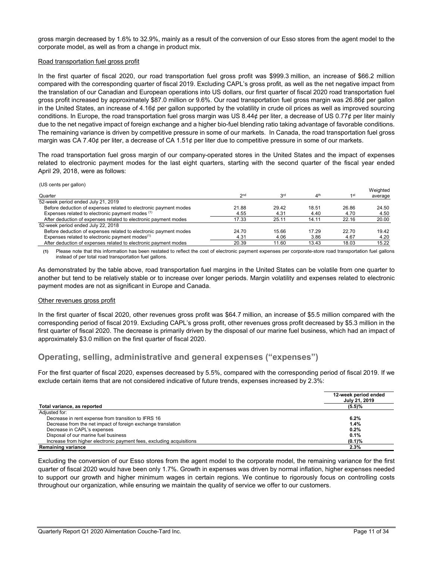gross margin decreased by 1.6% to 32.9%, mainly as a result of the conversion of our Esso stores from the agent model to the corporate model, as well as from a change in product mix.

#### Road transportation fuel gross profit

In the first quarter of fiscal 2020, our road transportation fuel gross profit was \$999.3 million, an increase of \$66.2 million compared with the corresponding quarter of fiscal 2019. Excluding CAPL's gross profit, as well as the net negative impact from the translation of our Canadian and European operations into US dollars, our first quarter of fiscal 2020 road transportation fuel gross profit increased by approximately \$87.0 million or 9.6%. Our road transportation fuel gross margin was 26.86¢ per gallon in the United States, an increase of 4.16¢ per gallon supported by the volatility in crude oil prices as well as improved sourcing conditions. In Europe, the road transportation fuel gross margin was US 8.44¢ per liter, a decrease of US 0.77¢ per liter mainly due to the net negative impact of foreign exchange and a higher bio-fuel blending ratio taking advantage of favorable conditions. The remaining variance is driven by competitive pressure in some of our markets. In Canada, the road transportation fuel gross margin was CA 7.40¢ per liter, a decrease of CA 1.51¢ per liter due to competitive pressure in some of our markets.

The road transportation fuel gross margin of our company-operated stores in the United States and the impact of expenses related to electronic payment modes for the last eight quarters, starting with the second quarter of the fiscal year ended April 29, 2018, were as follows:

|                                                                  |        |                 |              |       | Weighted |
|------------------------------------------------------------------|--------|-----------------|--------------|-------|----------|
| Quarter                                                          | $2n$ d | 3 <sup>rd</sup> | $\Lambda$ th | 1st   | average  |
| 52-week period ended July 21, 2019                               |        |                 |              |       |          |
| Before deduction of expenses related to electronic payment modes | 21.88  | 29.42           | 18.51        | 26.86 | 24.50    |
| Expenses related to electronic payment modes (1)                 | 4.55   | 4.31            | 4.40         | 4.70  | 4.50     |
| After deduction of expenses related to electronic payment modes  | 17.33  | 25.11           | 14.11        | 22.16 | 20.00    |
| 52-week period ended July 22, 2018                               |        |                 |              |       |          |
| Before deduction of expenses related to electronic payment modes | 24.70  | 15.66           | 17 29        | 22.70 | 19.42    |
| Expenses related to electronic payment modes $(1)$               | 4.31   | 4.06            | 3.86         | 4.67  | 4.20     |
| After deduction of expenses related to electronic payment modes  | 20.39  | 11.60           | 13.43        | 18.03 | 15.22    |

**(1)** Please note that this information has been restated to reflect the cost of electronic payment expenses per corporate-store road transportation fuel gallons instead of per total road transportation fuel gallons.

As demonstrated by the table above, road transportation fuel margins in the United States can be volatile from one quarter to another but tend to be relatively stable or to increase over longer periods. Margin volatility and expenses related to electronic payment modes are not as significant in Europe and Canada.

#### Other revenues gross profit

In the first quarter of fiscal 2020, other revenues gross profit was \$64.7 million, an increase of \$5.5 million compared with the corresponding period of fiscal 2019. Excluding CAPL's gross profit, other revenues gross profit decreased by \$5.3 million in the first quarter of fiscal 2020. The decrease is primarily driven by the disposal of our marine fuel business, which had an impact of approximately \$3.0 million on the first quarter of fiscal 2020.

# **Operating, selling, administrative and general expenses ("expenses")**

For the first quarter of fiscal 2020, expenses decreased by 5.5%, compared with the corresponding period of fiscal 2019. If we exclude certain items that are not considered indicative of future trends, expenses increased by 2.3%:

|                                                                      | 12-week period ended<br>July 21, 2019 |
|----------------------------------------------------------------------|---------------------------------------|
| Total variance, as reported                                          | $(5.5)\%$                             |
| Adiusted for:                                                        |                                       |
| Decrease in rent expense from transition to IFRS 16                  | 6.2%                                  |
| Decrease from the net impact of foreign exchange translation         | 1.4%                                  |
| Decrease in CAPL's expenses                                          | 0.2%                                  |
| Disposal of our marine fuel business                                 | 0.1%                                  |
| Increase from higher electronic payment fees, excluding acquisitions | $(0.1)\%$                             |
| <b>Remaining variance</b>                                            | 2.3%                                  |

Excluding the conversion of our Esso stores from the agent model to the corporate model, the remaining variance for the first quarter of fiscal 2020 would have been only 1.7%. Growth in expenses was driven by normal inflation, higher expenses needed to support our growth and higher minimum wages in certain regions. We continue to rigorously focus on controlling costs throughout our organization, while ensuring we maintain the quality of service we offer to our customers.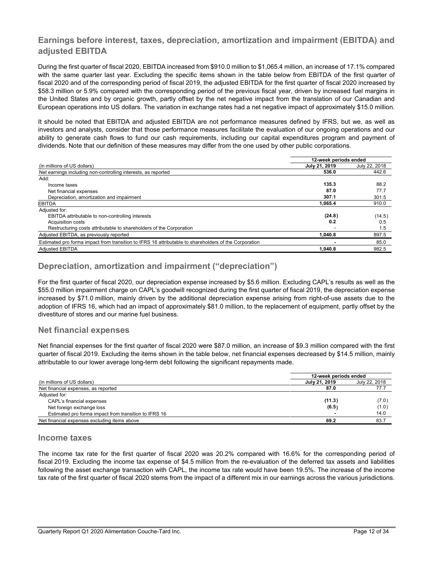# **Earnings before interest, taxes, depreciation, amortization and impairment (EBITDA) and adjusted EBITDA**

During the first quarter of fiscal 2020, EBITDA increased from \$910.0 million to \$1,065.4 million, an increase of 17.1% compared with the same quarter last year. Excluding the specific items shown in the table below from EBITDA of the first quarter of fiscal 2020 and of the corresponding period of fiscal 2019, the adjusted EBITDA for the first quarter of fiscal 2020 increased by \$58.3 million or 5.9% compared with the corresponding period of the previous fiscal year, driven by increased fuel margins in the United States and by organic growth, partly offset by the net negative impact from the translation of our Canadian and European operations into US dollars. The variation in exchange rates had a net negative impact of approximately \$15.0 million.

It should be noted that EBITDA and adjusted EBITDA are not performance measures defined by IFRS, but we, as well as investors and analysts, consider that those performance measures facilitate the evaluation of our ongoing operations and our ability to generate cash flows to fund our cash requirements, including our capital expenditures program and payment of dividends. Note that our definition of these measures may differ from the one used by other public corporations.

|                                                                                                       | 12-week periods ended |               |  |
|-------------------------------------------------------------------------------------------------------|-----------------------|---------------|--|
| (in millions of US dollars)                                                                           | July 21, 2019         | July 22, 2018 |  |
| Net earnings including non-controlling interests, as reported                                         | 536.0                 | 442.6         |  |
| Add:                                                                                                  |                       |               |  |
| Income taxes                                                                                          | 135.3                 | 88.2          |  |
| Net financial expenses                                                                                | 87.0                  | 77.7          |  |
| Depreciation, amortization and impairment                                                             | 307.1                 | 301.5         |  |
| <b>EBITDA</b>                                                                                         | 1.065.4               | 910.0         |  |
| Adjusted for:                                                                                         |                       |               |  |
| EBITDA attributable to non-controlling interests                                                      | (24.8)                | (14.5)        |  |
| <b>Acquisition costs</b>                                                                              | 0.2                   | 0.5           |  |
| Restructuring costs attributable to shareholders of the Corporation                                   |                       | 1.5           |  |
| Adjusted EBITDA, as previously reported                                                               | 1.040.8               | 897.5         |  |
| Estimated pro forma impact from transition to IFRS 16 attributable to shareholders of the Corporation |                       | 85.0          |  |
| <b>Adjusted EBITDA</b>                                                                                | 1.040.8               | 982.5         |  |

# **Depreciation, amortization and impairment ("depreciation")**

For the first quarter of fiscal 2020, our depreciation expense increased by \$5.6 million. Excluding CAPL's results as well as the \$55.0 million impairment charge on CAPL's goodwill recognized during the first quarter of fiscal 2019, the depreciation expense increased by \$71.0 million, mainly driven by the additional depreciation expense arising from right-of-use assets due to the adoption of IFRS 16, which had an impact of approximately \$81.0 million, to the replacement of equipment, partly offset by the divestiture of stores and our marine fuel business.

# **Net financial expenses**

Net financial expenses for the first quarter of fiscal 2020 were \$87.0 million, an increase of \$9.3 million compared with the first quarter of fiscal 2019. Excluding the items shown in the table below, net financial expenses decreased by \$14.5 million, mainly attributable to our lower average long-term debt following the significant repayments made.

|                                                       | 12-week periods ended |               |
|-------------------------------------------------------|-----------------------|---------------|
| (in millions of US dollars)                           | July 21, 2019         | July 22, 2018 |
| Net financial expenses, as reported                   | 87.0                  | 77.7          |
| Adjusted for:                                         |                       |               |
| CAPL's financial expenses                             | (11.3)                | (7.0)         |
| Net foreign exchange loss                             | (6.5)                 | (1.0)         |
| Estimated pro forma impact from transition to IFRS 16 |                       | 14.0          |
| Net financial expenses excluding items above          | 69.2                  | 83.7          |

# **Income taxes**

The income tax rate for the first quarter of fiscal 2020 was 20.2% compared with 16.6% for the corresponding period of fiscal 2019. Excluding the income tax expense of \$4.5 million from the re-evaluation of the deferred tax assets and liabilities following the asset exchange transaction with CAPL, the income tax rate would have been 19.5%. The increase of the income tax rate of the first quarter of fiscal 2020 stems from the impact of a different mix in our earnings across the various jurisdictions.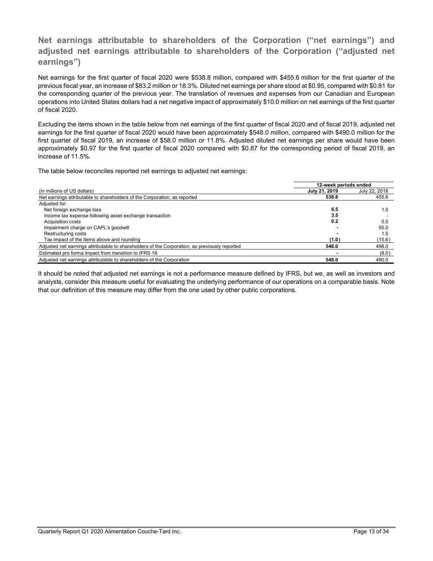# **Net earnings attributable to shareholders of the Corporation ("net earnings") and adjusted net earnings attributable to shareholders of the Corporation ("adjusted net earnings")**

Net earnings for the first quarter of fiscal 2020 were \$538.8 million, compared with \$455.6 million for the first quarter of the previous fiscal year, an increase of \$83.2 million or 18.3%. Diluted net earnings per share stood at \$0.95, compared with \$0.81 for the corresponding quarter of the previous year. The translation of revenues and expenses from our Canadian and European operations into United States dollars had a net negative impact of approximately \$10.0 million on net earnings of the first quarter of fiscal 2020.

Excluding the items shown in the table below from net earnings of the first quarter of fiscal 2020 and of fiscal 2019, adjusted net earnings for the first quarter of fiscal 2020 would have been approximately \$548.0 million, compared with \$490.0 million for the first quarter of fiscal 2019, an increase of \$58.0 million or 11.8%. Adjusted diluted net earnings per share would have been approximately \$0.97 for the first quarter of fiscal 2020 compared with \$0.87 for the corresponding period of fiscal 2019, an increase of 11.5%.

The table below reconciles reported net earnings to adjusted net earnings:

|                                                                                               | 12-week periods ended |               |
|-----------------------------------------------------------------------------------------------|-----------------------|---------------|
| (in millions of US dollars)                                                                   | July 21, 2019         | July 22, 2018 |
| Net earnings attributable to shareholders of the Corporation, as reported                     | 538.8                 | 455.6         |
| Adjusted for:                                                                                 |                       |               |
| Net foreign exchange loss                                                                     | 6.5                   | 1.0           |
| Income tax expense following asset exchange transaction                                       | 3.5                   |               |
| <b>Acquisition costs</b>                                                                      | 0.2                   | 0.5           |
| Impairment charge on CAPL's goodwill                                                          |                       | 55.0          |
| Restructuring costs                                                                           |                       | 1.5           |
| Tax impact of the items above and rounding                                                    | (1.0)                 | (15.6)        |
| Adjusted net earnings attributable to shareholders of the Corporation, as previously reported | 548.0                 | 498.0         |
| Estimated pro forma impact from transition to IFRS 16                                         |                       | (8.0)         |
| Adjusted net earnings attributable to shareholders of the Corporation                         | 548.0                 | 490.0         |

It should be noted that adjusted net earnings is not a performance measure defined by IFRS, but we, as well as investors and analysts, consider this measure useful for evaluating the underlying performance of our operations on a comparable basis. Note that our definition of this measure may differ from the one used by other public corporations.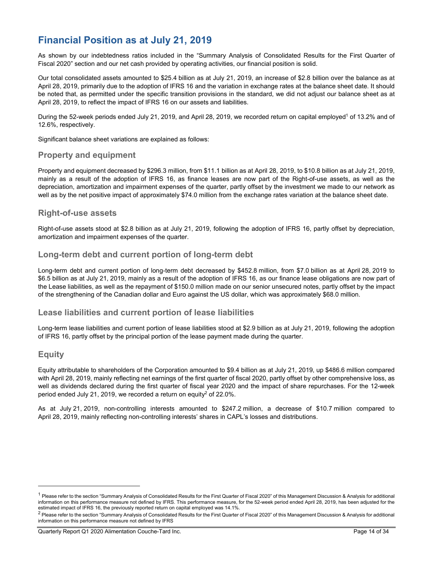# **Financial Position as at July 21, 2019**

As shown by our indebtedness ratios included in the "Summary Analysis of Consolidated Results for the First Quarter of Fiscal 2020" section and our net cash provided by operating activities, our financial position is solid.

Our total consolidated assets amounted to \$25.4 billion as at July 21, 2019, an increase of \$2.8 billion over the balance as at April 28, 2019, primarily due to the adoption of IFRS 16 and the variation in exchange rates at the balance sheet date. It should be noted that, as permitted under the specific transition provisions in the standard, we did not adjust our balance sheet as at April 28, 2019, to reflect the impact of IFRS 16 on our assets and liabilities.

During the 52-week periods ended July 21, 2019, and April 28, 2019, we recorded return on capital employed<sup>1</sup> of 13.2% and of 12.6%, respectively.

Significant balance sheet variations are explained as follows:

# **Property and equipment**

Property and equipment decreased by \$296.3 million, from \$11.1 billion as at April 28, 2019, to \$10.8 billion as at July 21, 2019, mainly as a result of the adoption of IFRS 16, as finance leases are now part of the Right-of-use assets, as well as the depreciation, amortization and impairment expenses of the quarter, partly offset by the investment we made to our network as well as by the net positive impact of approximately \$74.0 million from the exchange rates variation at the balance sheet date.

# **Right-of-use assets**

Right-of-use assets stood at \$2.8 billion as at July 21, 2019, following the adoption of IFRS 16, partly offset by depreciation, amortization and impairment expenses of the quarter.

# **Long-term debt and current portion of long-term debt**

Long-term debt and current portion of long-term debt decreased by \$452.8 million, from \$7.0 billion as at April 28, 2019 to \$6.5 billion as at July 21, 2019, mainly as a result of the adoption of IFRS 16, as our finance lease obligations are now part of the Lease liabilities, as well as the repayment of \$150.0 million made on our senior unsecured notes, partly offset by the impact of the strengthening of the Canadian dollar and Euro against the US dollar, which was approximately \$68.0 million.

# **Lease liabilities and current portion of lease liabilities**

Long-term lease liabilities and current portion of lease liabilities stood at \$2.9 billion as at July 21, 2019, following the adoption of IFRS 16, partly offset by the principal portion of the lease payment made during the quarter.

# **Equity**

 $\overline{a}$ 

Equity attributable to shareholders of the Corporation amounted to \$9.4 billion as at July 21, 2019, up \$486.6 million compared with April 28, 2019, mainly reflecting net earnings of the first quarter of fiscal 2020, partly offset by other comprehensive loss, as well as dividends declared during the first quarter of fiscal year 2020 and the impact of share repurchases. For the 12-week period ended July 21, 2019, we recorded a return on equity<sup>2</sup> of 22.0%.

As at July 21, 2019, non-controlling interests amounted to \$247.2 million, a decrease of \$10.7 million compared to April 28, 2019, mainly reflecting non-controlling interests' shares in CAPL's losses and distributions.

 $1$  Please refer to the section "Summary Analysis of Consolidated Results for the First Quarter of Fiscal 2020" of this Management Discussion & Analysis for additional information on this performance measure not defined by IFRS. This performance measure, for the 52-week period ended April 28, 2019, has been adjusted for the estimated impact of IFRS 16, the previously reported return on capital employed was 14.1%.

 $2$  Please refer to the section "Summary Analysis of Consolidated Results for the First Quarter of Fiscal 2020" of this Management Discussion & Analysis for additional information on this performance measure not defined by IFRS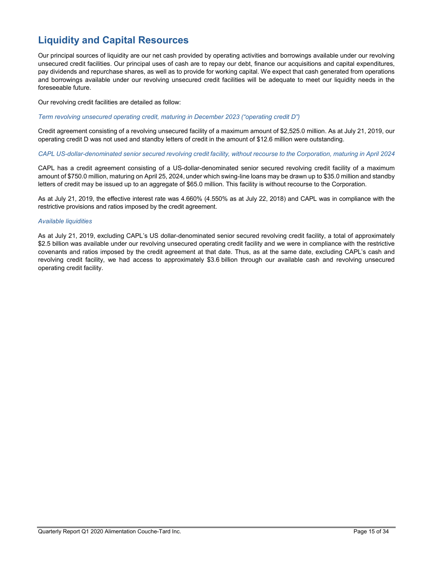# **Liquidity and Capital Resources**

Our principal sources of liquidity are our net cash provided by operating activities and borrowings available under our revolving unsecured credit facilities. Our principal uses of cash are to repay our debt, finance our acquisitions and capital expenditures, pay dividends and repurchase shares, as well as to provide for working capital. We expect that cash generated from operations and borrowings available under our revolving unsecured credit facilities will be adequate to meet our liquidity needs in the foreseeable future.

Our revolving credit facilities are detailed as follow:

#### *Term revolving unsecured operating credit, maturing in December 2023 ("operating credit D")*

Credit agreement consisting of a revolving unsecured facility of a maximum amount of \$2,525.0 million. As at July 21, 2019, our operating credit D was not used and standby letters of credit in the amount of \$12.6 million were outstanding.

#### *CAPL US-dollar-denominated senior secured revolving credit facility, without recourse to the Corporation, maturing in April 2024*

CAPL has a credit agreement consisting of a US-dollar-denominated senior secured revolving credit facility of a maximum amount of \$750.0 million, maturing on April 25, 2024, under which swing-line loans may be drawn up to \$35.0 million and standby letters of credit may be issued up to an aggregate of \$65.0 million. This facility is without recourse to the Corporation.

As at July 21, 2019, the effective interest rate was 4.660% (4.550% as at July 22, 2018) and CAPL was in compliance with the restrictive provisions and ratios imposed by the credit agreement.

## *Available liquidities*

As at July 21, 2019, excluding CAPL's US dollar-denominated senior secured revolving credit facility, a total of approximately \$2.5 billion was available under our revolving unsecured operating credit facility and we were in compliance with the restrictive covenants and ratios imposed by the credit agreement at that date. Thus, as at the same date, excluding CAPL's cash and revolving credit facility, we had access to approximately \$3.6 billion through our available cash and revolving unsecured operating credit facility.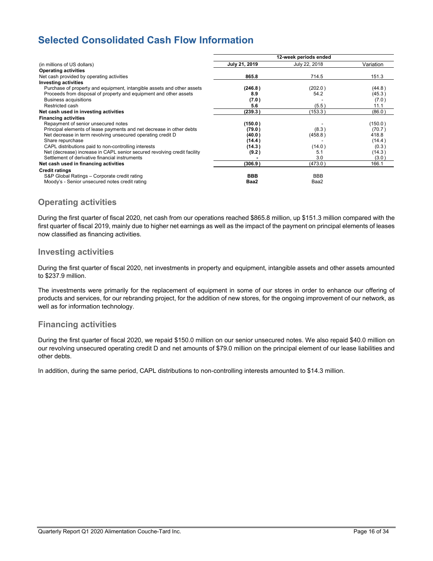# **Selected Consolidated Cash Flow Information**

|                                                                          | 12-week periods ended |               |           |  |
|--------------------------------------------------------------------------|-----------------------|---------------|-----------|--|
| (in millions of US dollars)                                              | July 21, 2019         | July 22, 2018 | Variation |  |
| <b>Operating activities</b>                                              |                       |               |           |  |
| Net cash provided by operating activities                                | 865.8                 | 714.5         | 151.3     |  |
| <b>Investing activities</b>                                              |                       |               |           |  |
| Purchase of property and equipment, intangible assets and other assets   | (246.8)               | (202.0)       | (44.8)    |  |
| Proceeds from disposal of property and equipment and other assets        | 8.9                   | 54.2          | (45.3)    |  |
| Business acquisitions                                                    | (7.0)                 |               | (7.0)     |  |
| Restricted cash                                                          | 5.6                   | (5.5)         | 11.1      |  |
| Net cash used in investing activities                                    | (239.3)               | (153.3)       | (86.0)    |  |
| <b>Financing activities</b>                                              |                       |               |           |  |
| Repayment of senior unsecured notes                                      | (150.0)               |               | (150.0)   |  |
| Principal elements of lease payments and net decrease in other debts     | (79.0)                | (8.3)         | (70.7)    |  |
| Net decrease in term revolving unsecured operating credit D              | (40.0)                | (458.8)       | 418.8     |  |
| Share repurchase                                                         | (14.4)                |               | (14.4)    |  |
| CAPL distributions paid to non-controlling interests                     | (14.3)                | (14.0)        | (0.3)     |  |
| Net (decrease) increase in CAPL senior secured revolving credit facility | (9.2)                 | 5.1           | (14.3)    |  |
| Settlement of derivative financial instruments                           |                       | 3.0           | (3.0)     |  |
| Net cash used in financing activities                                    | (306.9)               | (473.0 )      | 166.1     |  |
| <b>Credit ratings</b>                                                    |                       |               |           |  |
| S&P Global Ratings - Corporate credit rating                             | <b>BBB</b>            | <b>BBB</b>    |           |  |
| Moody's - Senior unsecured notes credit rating                           | Baa2                  | Baa2          |           |  |

# **Operating activities**

During the first quarter of fiscal 2020, net cash from our operations reached \$865.8 million, up \$151.3 million compared with the first quarter of fiscal 2019, mainly due to higher net earnings as well as the impact of the payment on principal elements of leases now classified as financing activities.

# **Investing activities**

During the first quarter of fiscal 2020, net investments in property and equipment, intangible assets and other assets amounted to \$237.9 million.

The investments were primarily for the replacement of equipment in some of our stores in order to enhance our offering of products and services, for our rebranding project, for the addition of new stores, for the ongoing improvement of our network, as well as for information technology.

# **Financing activities**

During the first quarter of fiscal 2020, we repaid \$150.0 million on our senior unsecured notes. We also repaid \$40.0 million on our revolving unsecured operating credit D and net amounts of \$79.0 million on the principal element of our lease liabilities and other debts.

In addition, during the same period, CAPL distributions to non-controlling interests amounted to \$14.3 million.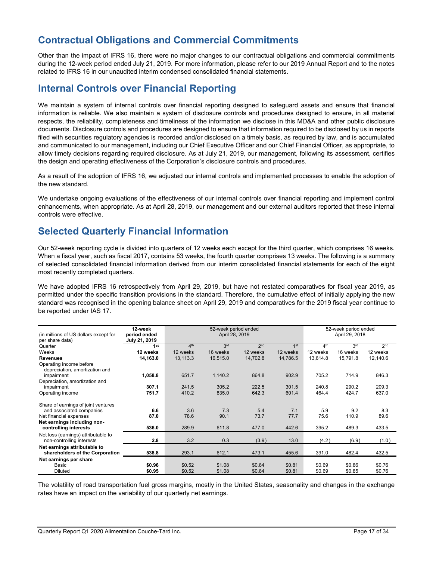# **Contractual Obligations and Commercial Commitments**

Other than the impact of IFRS 16, there were no major changes to our contractual obligations and commercial commitments during the 12-week period ended July 21, 2019. For more information, please refer to our 2019 Annual Report and to the notes related to IFRS 16 in our unaudited interim condensed consolidated financial statements.

# **Internal Controls over Financial Reporting**

We maintain a system of internal controls over financial reporting designed to safeguard assets and ensure that financial information is reliable. We also maintain a system of disclosure controls and procedures designed to ensure, in all material respects, the reliability, completeness and timeliness of the information we disclose in this MD&A and other public disclosure documents. Disclosure controls and procedures are designed to ensure that information required to be disclosed by us in reports filed with securities regulatory agencies is recorded and/or disclosed on a timely basis, as required by law, and is accumulated and communicated to our management, including our Chief Executive Officer and our Chief Financial Officer, as appropriate, to allow timely decisions regarding required disclosure. As at July 21, 2019, our management, following its assessment, certifies the design and operating effectiveness of the Corporation's disclosure controls and procedures.

As a result of the adoption of IFRS 16, we adjusted our internal controls and implemented processes to enable the adoption of the new standard.

We undertake ongoing evaluations of the effectiveness of our internal controls over financial reporting and implement control enhancements, when appropriate. As at April 28, 2019, our management and our external auditors reported that these internal controls were effective.

# **Selected Quarterly Financial Information**

Our 52-week reporting cycle is divided into quarters of 12 weeks each except for the third quarter, which comprises 16 weeks. When a fiscal year, such as fiscal 2017, contains 53 weeks, the fourth quarter comprises 13 weeks. The following is a summary of selected consolidated financial information derived from our interim consolidated financial statements for each of the eight most recently completed quarters.

We have adopted IFRS 16 retrospectively from April 29, 2019, but have not restated comparatives for fiscal year 2019, as permitted under the specific transition provisions in the standard. Therefore, the cumulative effect of initially applying the new standard was recognised in the opening balance sheet on April 29, 2019 and comparatives for the 2019 fiscal year continue to be reported under IAS 17.

| (in millions of US dollars except for<br>per share data)                                  | 12-week<br>period ended<br>July 21, 2019 | 52-week period ended<br>April 28, 2019 |                  |                  |                  | 52-week period ended<br>April 29, 2018 |                  |                  |
|-------------------------------------------------------------------------------------------|------------------------------------------|----------------------------------------|------------------|------------------|------------------|----------------------------------------|------------------|------------------|
| Quarter                                                                                   | 1 <sup>st</sup>                          | 4 <sup>th</sup>                        | 3 <sup>rd</sup>  | 2 <sub>nd</sub>  | 1 <sup>st</sup>  | 4 <sup>th</sup>                        | 3 <sup>rd</sup>  | 2 <sub>nd</sub>  |
| Weeks                                                                                     | 12 weeks                                 | 12 weeks                               | 16 weeks         | 12 weeks         | 12 weeks         | 12 weeks                               | 16 weeks         | 12 weeks         |
| <b>Revenues</b>                                                                           | 14,163.0                                 | 13,113.3                               | 16,515.0         | 14,702.8         | 14,786.5         | 13,614.8                               | 15,791.8         | 12,140.6         |
| Operating income before<br>depreciation, amortization and<br>impairment                   | 1,058.8                                  | 651.7                                  | 1,140.2          | 864.8            | 902.9            | 705.2                                  | 714.9            | 846.3            |
| Depreciation, amortization and<br>impairment                                              | 307.1                                    | 241.5                                  | 305.2            | 222.5            | 301.5            | 240.8                                  | 290.2            | 209.3            |
| Operating income                                                                          | 751.7                                    | 410.2                                  | 835.0            | 642.3            | 601.4            | 464.4                                  | 424.7            | 637.0            |
| Share of earnings of joint ventures<br>and associated companies<br>Net financial expenses | 6.6<br>87.0                              | 3.6<br>78.6                            | 7.3<br>90.1      | 5.4<br>73.7      | 7.1<br>77.7      | 5.9<br>75.6                            | 9.2<br>110.9     | 8.3<br>89.6      |
| Net earnings including non-<br>controlling interests                                      | 536.0                                    | 289.9                                  | 611.8            | 477.0            | 442.6            | 395.2                                  | 489.3            | 433.5            |
| Net loss (earnings) attributable to<br>non-controlling interests                          | 2.8                                      | 3.2                                    | 0.3              | (3.9)            | 13.0             | (4.2)                                  | (6.9)            | (1.0)            |
| Net earnings attributable to<br>shareholders of the Corporation                           | 538.8                                    | 293.1                                  | 612.1            | 473.1            | 455.6            | 391.0                                  | 482.4            | 432.5            |
| Net earnings per share<br>Basic<br><b>Diluted</b>                                         | \$0.96<br>\$0.95                         | \$0.52<br>\$0.52                       | \$1.08<br>\$1.08 | \$0.84<br>\$0.84 | \$0.81<br>\$0.81 | \$0.69<br>\$0.69                       | \$0.86<br>\$0.85 | \$0.76<br>\$0.76 |

The volatility of road transportation fuel gross margins, mostly in the United States, seasonality and changes in the exchange rates have an impact on the variability of our quarterly net earnings.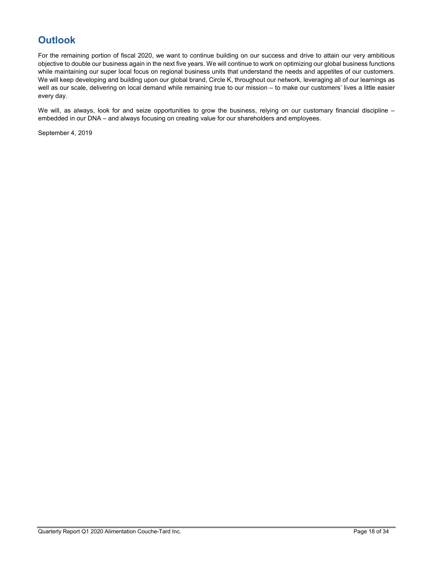# **Outlook**

For the remaining portion of fiscal 2020, we want to continue building on our success and drive to attain our very ambitious objective to double our business again in the next five years. We will continue to work on optimizing our global business functions while maintaining our super local focus on regional business units that understand the needs and appetites of our customers. We will keep developing and building upon our global brand, Circle K, throughout our network, leveraging all of our learnings as well as our scale, delivering on local demand while remaining true to our mission – to make our customers' lives a little easier every day.

We will, as always, look for and seize opportunities to grow the business, relying on our customary financial discipline – embedded in our DNA – and always focusing on creating value for our shareholders and employees.

September 4, 2019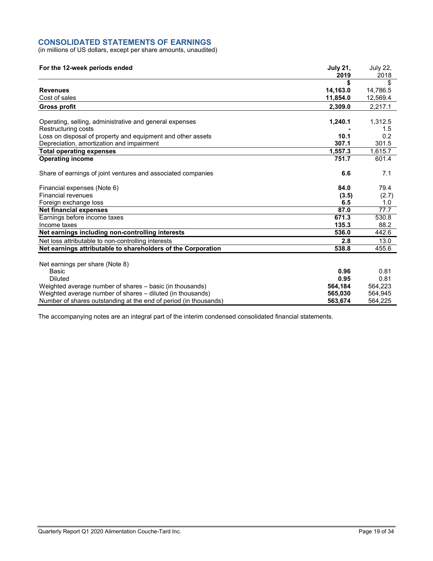# **CONSOLIDATED STATEMENTS OF EARNINGS**

(in millions of US dollars, except per share amounts, unaudited)

| For the 12-week periods ended                                    | <b>July 21,</b><br>2019 | July 22,<br>2018 |
|------------------------------------------------------------------|-------------------------|------------------|
|                                                                  |                         | \$               |
| <b>Revenues</b>                                                  | 14,163.0                | 14,786.5         |
| Cost of sales                                                    | 11,854.0                | 12,569.4         |
| <b>Gross profit</b>                                              | 2.309.0                 | 2.217.1          |
|                                                                  |                         |                  |
| Operating, selling, administrative and general expenses          | 1,240.1                 | 1,312.5          |
| Restructuring costs                                              |                         | 1.5              |
| Loss on disposal of property and equipment and other assets      | 10.1                    | 0.2              |
| Depreciation, amortization and impairment                        | 307.1                   | 301.5            |
| <b>Total operating expenses</b>                                  | 1,557.3                 | 1,615.7          |
| <b>Operating income</b>                                          | 751.7                   | 601.4            |
| Share of earnings of joint ventures and associated companies     | 6.6                     | 7.1              |
| Financial expenses (Note 6)                                      | 84.0                    | 79.4             |
| <b>Financial revenues</b>                                        | (3.5)                   | (2.7)            |
| Foreign exchange loss                                            | 6.5                     | 1.0              |
| <b>Net financial expenses</b>                                    | 87.0                    | 77.7             |
| Earnings before income taxes                                     | 671.3                   | 530.8            |
| Income taxes                                                     | 135.3                   | 88.2             |
| Net earnings including non-controlling interests                 | 536.0                   | 442.6            |
| Net loss attributable to non-controlling interests               | 2.8                     | 13.0             |
| Net earnings attributable to shareholders of the Corporation     | 538.8                   | 455.6            |
| Net earnings per share (Note 8)                                  |                         |                  |
| Basic                                                            | 0.96                    | 0.81             |
| <b>Diluted</b>                                                   | 0.95                    | 0.81             |
| Weighted average number of shares – basic (in thousands)         | 564,184                 | 564,223          |
| Weighted average number of shares - diluted (in thousands)       | 565,030                 | 564,945          |
| Number of shares outstanding at the end of period (in thousands) | 563,674                 | 564,225          |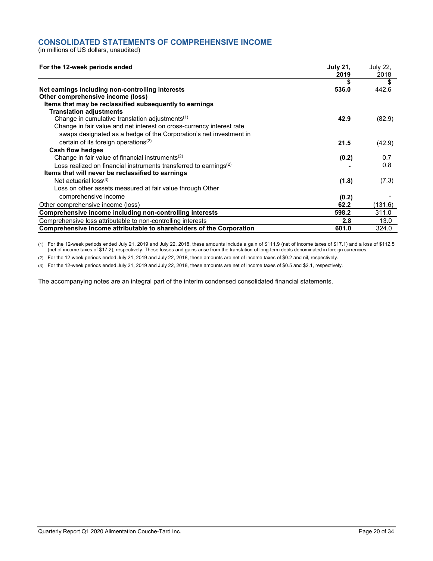# **CONSOLIDATED STATEMENTS OF COMPREHENSIVE INCOME**

(in millions of US dollars, unaudited)

| For the 12-week periods ended                                                 | <b>July 21.</b><br>2019 | <b>July 22.</b><br>2018 |
|-------------------------------------------------------------------------------|-------------------------|-------------------------|
|                                                                               |                         | \$                      |
| Net earnings including non-controlling interests                              | 536.0                   | 442.6                   |
| Other comprehensive income (loss)                                             |                         |                         |
| Items that may be reclassified subsequently to earnings                       |                         |                         |
| <b>Translation adjustments</b>                                                |                         |                         |
| Change in cumulative translation adjustments <sup>(1)</sup>                   | 42.9                    | (82.9)                  |
| Change in fair value and net interest on cross-currency interest rate         |                         |                         |
| swaps designated as a hedge of the Corporation's net investment in            |                         |                         |
| certain of its foreign operations <sup>(2)</sup>                              | 21.5                    | (42.9)                  |
| <b>Cash flow hedges</b>                                                       |                         |                         |
| Change in fair value of financial instruments <sup>(2)</sup>                  | (0.2)                   | 0.7                     |
| Loss realized on financial instruments transferred to earnings <sup>(2)</sup> |                         | 0.8                     |
| Items that will never be reclassified to earnings                             |                         |                         |
| Net actuarial $loss^{(3)}$                                                    | (1.8)                   | (7.3)                   |
| Loss on other assets measured at fair value through Other                     |                         |                         |
| comprehensive income                                                          | (0.2)                   |                         |
| Other comprehensive income (loss)                                             | 62.2                    | (131.6)                 |
| Comprehensive income including non-controlling interests                      | 598.2                   | 311.0                   |
| Comprehensive loss attributable to non-controlling interests                  | 2.8                     | 13.0                    |
| Comprehensive income attributable to shareholders of the Corporation          | 601.0                   | 324.0                   |

(1) For the 12-week periods ended July 21, 2019 and July 22, 2018, these amounts include a gain of \$111.9 (net of income taxes of \$17.1) and a loss of \$112.5 (net of income taxes of \$17.2), respectively. These losses and gains arise from the translation of long-term debts denominated in foreign currencies.

(2) For the 12-week periods ended July 21, 2019 and July 22, 2018, these amounts are net of income taxes of \$0.2 and nil, respectively.

(3) For the 12-week periods ended July 21, 2019 and July 22, 2018, these amounts are net of income taxes of \$0.5 and \$2.1, respectively.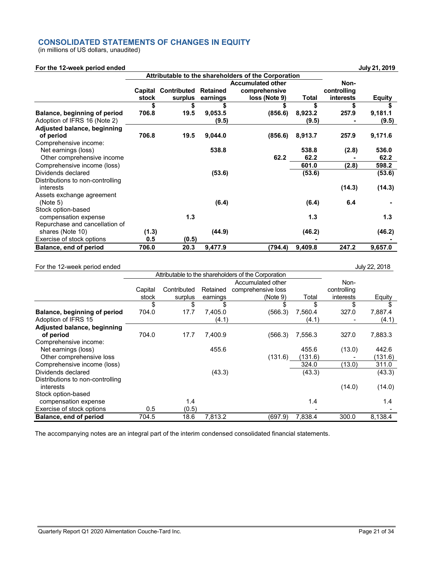# **CONSOLIDATED STATEMENTS OF CHANGES IN EQUITY**

(in millions of US dollars, unaudited)

# **For the 12-week period ended July 21, 2019**

|                                               |         |                    |                 | Attributable to the shareholders of the Corporation |         |                  |               |
|-----------------------------------------------|---------|--------------------|-----------------|-----------------------------------------------------|---------|------------------|---------------|
|                                               |         |                    |                 | <b>Accumulated other</b>                            |         | Non-             |               |
|                                               | Capital | <b>Contributed</b> | <b>Retained</b> | comprehensive                                       |         | controlling      |               |
|                                               | stock   | surplus            | earnings        | loss (Note 9)                                       | Total   | <b>interests</b> | <b>Equity</b> |
|                                               | \$      | \$                 |                 |                                                     | \$      |                  |               |
| Balance, beginning of period                  | 706.8   | 19.5               | 9,053.5         | (856.6)                                             | 8,923.2 | 257.9            | 9,181.1       |
| Adoption of IFRS 16 (Note 2)                  |         |                    | (9.5)           |                                                     | (9.5)   |                  | (9.5)         |
| <b>Adjusted balance, beginning</b>            |         |                    |                 |                                                     |         |                  |               |
| of period                                     | 706.8   | 19.5               | 9,044.0         | (856.6)                                             | 8,913.7 | 257.9            | 9,171.6       |
| Comprehensive income:<br>Net earnings (loss)  |         |                    | 538.8           |                                                     | 538.8   | (2.8)            | 536.0         |
| Other comprehensive income                    |         |                    |                 | 62.2                                                | 62.2    |                  | 62.2          |
| Comprehensive income (loss)                   |         |                    |                 |                                                     | 601.0   | (2.8)            | 598.2         |
| Dividends declared                            |         |                    | (53.6)          |                                                     | (53.6)  |                  | (53.6)        |
| Distributions to non-controlling<br>interests |         |                    |                 |                                                     |         | (14.3)           | (14.3)        |
| Assets exchange agreement<br>(Note 5)         |         |                    | (6.4)           |                                                     | (6.4)   | 6.4              |               |
| Stock option-based<br>compensation expense    |         | 1.3                |                 |                                                     | 1.3     |                  | 1.3           |
| Repurchase and cancellation of                |         |                    |                 |                                                     |         |                  |               |
| shares (Note 10)                              | (1.3)   |                    | (44.9)          |                                                     | (46.2)  |                  | (46.2)        |
| Exercise of stock options                     | 0.5     | (0.5)              |                 |                                                     |         |                  |               |
| Balance, end of period                        | 706.0   | 20.3               | 9,477.9         | (794.4)                                             | 9,409.8 | 247.2            | 9,657.0       |

## For the 12-week period ended July 22, 2018

|                                               | Attributable to the shareholders of the Corporation |             |          |                    |         |             |         |
|-----------------------------------------------|-----------------------------------------------------|-------------|----------|--------------------|---------|-------------|---------|
|                                               |                                                     |             |          | Accumulated other  |         | Non-        |         |
|                                               | Capital                                             | Contributed | Retained | comprehensive loss |         | controlling |         |
|                                               | stock                                               | surplus     | earnings | (Note 9)           | Total   | interests   | Equity  |
|                                               | \$                                                  | \$          | \$       | \$                 | \$      | \$          |         |
| Balance, beginning of period                  | 704.0                                               | 17.7        | 7,405.0  | (566.3)            | 7,560.4 | 327.0       | 7,887.4 |
| Adoption of IFRS 15                           |                                                     |             | (4.1)    |                    | (4.1)   |             | (4.1)   |
| Adjusted balance, beginning                   |                                                     |             |          |                    |         |             |         |
| of period                                     | 704.0                                               | 17.7        | 7,400.9  | (566.3)            | 7,556.3 | 327.0       | 7,883.3 |
| Comprehensive income:                         |                                                     |             |          |                    |         |             |         |
| Net earnings (loss)                           |                                                     |             | 455.6    |                    | 455.6   | (13.0)      | 442.6   |
| Other comprehensive loss                      |                                                     |             |          | (131.6)            | (131.6) |             | (131.6) |
| Comprehensive income (loss)                   |                                                     |             |          |                    | 324.0   | (13.0)      | 311.0   |
| Dividends declared                            |                                                     |             | (43.3)   |                    | (43.3)  |             | (43.3)  |
| Distributions to non-controlling<br>interests |                                                     |             |          |                    |         | (14.0)      | (14.0)  |
| Stock option-based                            |                                                     |             |          |                    |         |             |         |
| compensation expense                          |                                                     | 1.4         |          |                    | 1.4     |             | 1.4     |
| Exercise of stock options                     | 0.5                                                 | (0.5)       |          |                    |         |             |         |
| Balance, end of period                        | 704.5                                               | 18.6        | 7,813.2  | (697.9)            | 7,838.4 | 300.0       | 8,138.4 |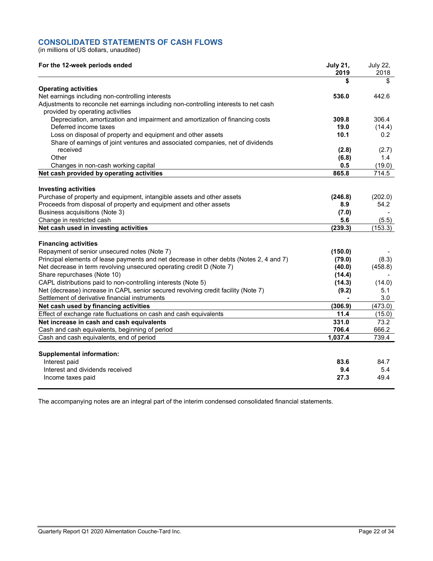# **CONSOLIDATED STATEMENTS OF CASH FLOWS**

(in millions of US dollars, unaudited)

| For the 12-week periods ended                                                                                                           | <b>July 21,</b><br>2019 | <b>July 22,</b><br>2018 |
|-----------------------------------------------------------------------------------------------------------------------------------------|-------------------------|-------------------------|
|                                                                                                                                         | \$                      | \$                      |
| <b>Operating activities</b>                                                                                                             |                         |                         |
| Net earnings including non-controlling interests                                                                                        | 536.0                   | 442.6                   |
| Adjustments to reconcile net earnings including non-controlling interests to net cash<br>provided by operating activities               |                         |                         |
| Depreciation, amortization and impairment and amortization of financing costs                                                           | 309.8                   | 306.4                   |
| Deferred income taxes                                                                                                                   | 19.0                    | (14.4)                  |
| Loss on disposal of property and equipment and other assets                                                                             | 10.1                    | 0.2                     |
| Share of earnings of joint ventures and associated companies, net of dividends                                                          |                         |                         |
| received                                                                                                                                | (2.8)                   | (2.7)                   |
| Other                                                                                                                                   | (6.8)                   | 1.4                     |
| Changes in non-cash working capital                                                                                                     | 0.5                     | (19.0)                  |
| Net cash provided by operating activities                                                                                               | 865.8                   | 714.5                   |
| <b>Investing activities</b>                                                                                                             |                         |                         |
| Purchase of property and equipment, intangible assets and other assets                                                                  | (246.8)                 | (202.0)                 |
| Proceeds from disposal of property and equipment and other assets                                                                       | 8.9                     | 54.2                    |
| Business acquisitions (Note 3)                                                                                                          | (7.0)                   |                         |
| Change in restricted cash                                                                                                               | 5.6                     | (5.5)                   |
| Net cash used in investing activities                                                                                                   | (239.3)                 | (153.3)                 |
|                                                                                                                                         |                         |                         |
| <b>Financing activities</b>                                                                                                             |                         |                         |
| Repayment of senior unsecured notes (Note 7)<br>Principal elements of lease payments and net decrease in other debts (Notes 2, 4 and 7) | (150.0)<br>(79.0)       | (8.3)                   |
| Net decrease in term revolving unsecured operating credit D (Note 7)                                                                    | (40.0)                  | (458.8)                 |
| Share repurchases (Note 10)                                                                                                             | (14.4)                  |                         |
| CAPL distributions paid to non-controlling interests (Note 5)                                                                           | (14.3)                  | (14.0)                  |
| Net (decrease) increase in CAPL senior secured revolving credit facility (Note 7)                                                       | (9.2)                   | 5.1                     |
| Settlement of derivative financial instruments                                                                                          |                         | 3.0                     |
| Net cash used by financing activities                                                                                                   | (306.9)                 | (473.0)                 |
| Effect of exchange rate fluctuations on cash and cash equivalents                                                                       | 11.4                    | (15.0)                  |
| Net increase in cash and cash equivalents                                                                                               | 331.0                   | 73.2                    |
| Cash and cash equivalents, beginning of period                                                                                          | 706.4                   | 666.2                   |
| Cash and cash equivalents, end of period                                                                                                | 1,037.4                 | 739.4                   |
|                                                                                                                                         |                         |                         |
| <b>Supplemental information:</b>                                                                                                        |                         |                         |
| Interest paid                                                                                                                           | 83.6                    | 84.7                    |
| Interest and dividends received                                                                                                         | 9.4                     | 5.4                     |
| Income taxes paid                                                                                                                       | 27.3                    | 49.4                    |
|                                                                                                                                         |                         |                         |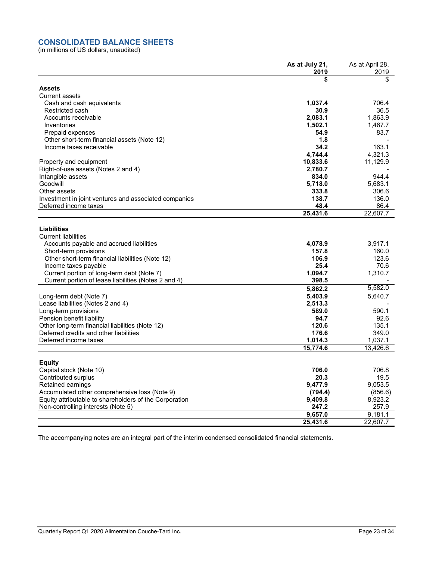# **CONSOLIDATED BALANCE SHEETS**

(in millions of US dollars, unaudited)

|                                                        | As at July 21, | As at April 28, |
|--------------------------------------------------------|----------------|-----------------|
|                                                        | 2019           | 2019            |
|                                                        | S              | \$              |
| <b>Assets</b>                                          |                |                 |
| <b>Current assets</b>                                  |                |                 |
| Cash and cash equivalents                              | 1,037.4        | 706.4           |
| Restricted cash                                        | 30.9           | 36.5            |
| Accounts receivable                                    | 2,083.1        | 1,863.9         |
| Inventories                                            | 1,502.1        | 1,467.7         |
| Prepaid expenses                                       | 54.9           | 83.7            |
| Other short-term financial assets (Note 12)            | 1.8            |                 |
| Income taxes receivable                                | 34.2           | 163.1           |
|                                                        | 4,744.4        | 4.321.3         |
| Property and equipment                                 | 10,833.6       | 11,129.9        |
| Right-of-use assets (Notes 2 and 4)                    | 2,780.7        |                 |
| Intangible assets                                      | 834.0          | 944.4           |
| Goodwill                                               | 5,718.0        | 5.683.1         |
| Other assets                                           | 333.8          | 306.6           |
| Investment in joint ventures and associated companies  | 138.7          | 136.0           |
| Deferred income taxes                                  | 48.4           | 86.4            |
|                                                        | 25,431.6       | 22,607.7        |
|                                                        |                |                 |
| Liabilities                                            |                |                 |
| <b>Current liabilities</b>                             |                |                 |
| Accounts payable and accrued liabilities               | 4,078.9        | 3,917.1         |
| Short-term provisions                                  | 157.8          | 160.0           |
| Other short-term financial liabilities (Note 12)       | 106.9          | 123.6           |
| Income taxes payable                                   | 25.4           | 70.6            |
| Current portion of long-term debt (Note 7)             | 1,094.7        | 1,310.7         |
| Current portion of lease liabilities (Notes 2 and 4)   | 398.5          |                 |
|                                                        | 5,862.2        | 5,582.0         |
| Long-term debt (Note 7)                                | 5,403.9        | 5,640.7         |
| Lease liabilities (Notes 2 and 4)                      | 2,513.3        |                 |
| Long-term provisions                                   | 589.0          | 590.1           |
| Pension benefit liability                              | 94.7           | 92.6            |
| Other long-term financial liabilities (Note 12)        | 120.6          | 135.1           |
| Deferred credits and other liabilities                 | 176.6          | 349.0           |
| Deferred income taxes                                  | 1,014.3        | 1,037.1         |
|                                                        | 15,774.6       | 13,426.6        |
|                                                        |                |                 |
| <b>Equity</b>                                          |                |                 |
| Capital stock (Note 10)                                | 706.0          | 706.8           |
| Contributed surplus                                    | 20.3           | 19.5            |
| Retained earnings                                      | 9,477.9        | 9,053.5         |
| Accumulated other comprehensive loss (Note 9)          | (794.4)        | (856.6)         |
| Equity attributable to shareholders of the Corporation | 9,409.8        | 8,923.2         |
| Non-controlling interests (Note 5)                     | 247.2          | 257.9           |
|                                                        | 9,657.0        | 9,181.1         |
|                                                        | 25,431.6       | 22,607.7        |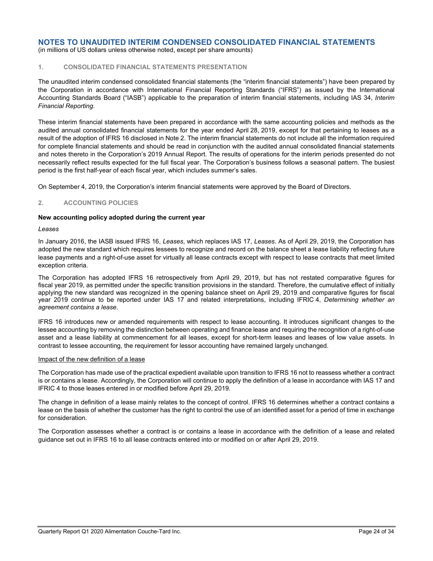(in millions of US dollars unless otherwise noted, except per share amounts)

## **1. CONSOLIDATED FINANCIAL STATEMENTS PRESENTATION**

The unaudited interim condensed consolidated financial statements (the "interim financial statements") have been prepared by the Corporation in accordance with International Financial Reporting Standards ("IFRS") as issued by the International Accounting Standards Board ("IASB") applicable to the preparation of interim financial statements, including IAS 34, *Interim Financial Reporting*.

These interim financial statements have been prepared in accordance with the same accounting policies and methods as the audited annual consolidated financial statements for the year ended April 28, 2019, except for that pertaining to leases as a result of the adoption of IFRS 16 disclosed in Note 2. The interim financial statements do not include all the information required for complete financial statements and should be read in conjunction with the audited annual consolidated financial statements and notes thereto in the Corporation's 2019 Annual Report. The results of operations for the interim periods presented do not necessarily reflect results expected for the full fiscal year. The Corporation's business follows a seasonal pattern. The busiest period is the first half-year of each fiscal year, which includes summer's sales.

On September 4, 2019, the Corporation's interim financial statements were approved by the Board of Directors.

## **2. ACCOUNTING POLICIES**

#### **New accounting policy adopted during the current year**

#### *Leases*

In January 2016, the IASB issued IFRS 16, *Leases*, which replaces IAS 17, *Leases*. As of April 29, 2019, the Corporation has adopted the new standard which requires lessees to recognize and record on the balance sheet a lease liability reflecting future lease payments and a right-of-use asset for virtually all lease contracts except with respect to lease contracts that meet limited exception criteria.

The Corporation has adopted IFRS 16 retrospectively from April 29, 2019, but has not restated comparative figures for fiscal year 2019, as permitted under the specific transition provisions in the standard. Therefore, the cumulative effect of initially applying the new standard was recognized in the opening balance sheet on April 29, 2019 and comparative figures for fiscal year 2019 continue to be reported under IAS 17 and related interpretations, including IFRIC 4, *Determining whether an agreement contains a lease*.

IFRS 16 introduces new or amended requirements with respect to lease accounting. It introduces significant changes to the lessee accounting by removing the distinction between operating and finance lease and requiring the recognition of a right-of-use asset and a lease liability at commencement for all leases, except for short-term leases and leases of low value assets. In contrast to lessee accounting, the requirement for lessor accounting have remained largely unchanged.

#### Impact of the new definition of a lease

The Corporation has made use of the practical expedient available upon transition to IFRS 16 not to reassess whether a contract is or contains a lease. Accordingly, the Corporation will continue to apply the definition of a lease in accordance with IAS 17 and IFRIC 4 to those leases entered in or modified before April 29, 2019.

The change in definition of a lease mainly relates to the concept of control. IFRS 16 determines whether a contract contains a lease on the basis of whether the customer has the right to control the use of an identified asset for a period of time in exchange for consideration.

The Corporation assesses whether a contract is or contains a lease in accordance with the definition of a lease and related guidance set out in IFRS 16 to all lease contracts entered into or modified on or after April 29, 2019.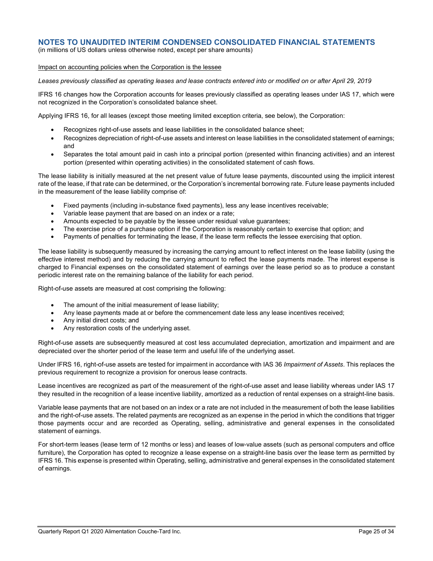(in millions of US dollars unless otherwise noted, except per share amounts)

#### Impact on accounting policies when the Corporation is the lessee

*Leases previously classified as operating leases and lease contracts entered into or modified on or after April 29, 2019*

IFRS 16 changes how the Corporation accounts for leases previously classified as operating leases under IAS 17, which were not recognized in the Corporation's consolidated balance sheet.

Applying IFRS 16, for all leases (except those meeting limited exception criteria, see below), the Corporation:

- Recognizes right-of-use assets and lease liabilities in the consolidated balance sheet;
- Recognizes depreciation of right-of-use assets and interest on lease liabilities in the consolidated statement of earnings: and
- Separates the total amount paid in cash into a principal portion (presented within financing activities) and an interest portion (presented within operating activities) in the consolidated statement of cash flows.

The lease liability is initially measured at the net present value of future lease payments, discounted using the implicit interest rate of the lease, if that rate can be determined, or the Corporation's incremental borrowing rate. Future lease payments included in the measurement of the lease liability comprise of:

- Fixed payments (including in-substance fixed payments), less any lease incentives receivable;
- Variable lease payment that are based on an index or a rate;
- Amounts expected to be payable by the lessee under residual value guarantees;
- The exercise price of a purchase option if the Corporation is reasonably certain to exercise that option; and
- Payments of penalties for terminating the lease, if the lease term reflects the lessee exercising that option.

The lease liability is subsequently measured by increasing the carrying amount to reflect interest on the lease liability (using the effective interest method) and by reducing the carrying amount to reflect the lease payments made. The interest expense is charged to Financial expenses on the consolidated statement of earnings over the lease period so as to produce a constant periodic interest rate on the remaining balance of the liability for each period.

Right-of-use assets are measured at cost comprising the following:

- The amount of the initial measurement of lease liability;
- Any lease payments made at or before the commencement date less any lease incentives received;
- Any initial direct costs; and
- Any restoration costs of the underlying asset.

Right-of-use assets are subsequently measured at cost less accumulated depreciation, amortization and impairment and are depreciated over the shorter period of the lease term and useful life of the underlying asset.

Under IFRS 16, right-of-use assets are tested for impairment in accordance with IAS 36 *Impairment of Assets*. This replaces the previous requirement to recognize a provision for onerous lease contracts.

Lease incentives are recognized as part of the measurement of the right-of-use asset and lease liability whereas under IAS 17 they resulted in the recognition of a lease incentive liability, amortized as a reduction of rental expenses on a straight-line basis.

Variable lease payments that are not based on an index or a rate are not included in the measurement of both the lease liabilities and the right-of-use assets. The related payments are recognized as an expense in the period in which the conditions that trigger those payments occur and are recorded as Operating, selling, administrative and general expenses in the consolidated statement of earnings.

For short-term leases (lease term of 12 months or less) and leases of low-value assets (such as personal computers and office furniture), the Corporation has opted to recognize a lease expense on a straight-line basis over the lease term as permitted by IFRS 16. This expense is presented within Operating, selling, administrative and general expenses in the consolidated statement of earnings.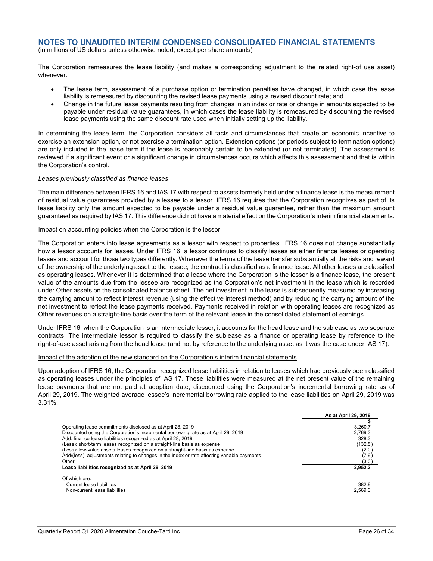(in millions of US dollars unless otherwise noted, except per share amounts)

The Corporation remeasures the lease liability (and makes a corresponding adjustment to the related right-of use asset) whenever:

- The lease term, assessment of a purchase option or termination penalties have changed, in which case the lease liability is remeasured by discounting the revised lease payments using a revised discount rate; and
- Change in the future lease payments resulting from changes in an index or rate or change in amounts expected to be payable under residual value guarantees, in which cases the lease liability is remeasured by discounting the revised lease payments using the same discount rate used when initially setting up the liability.

In determining the lease term, the Corporation considers all facts and circumstances that create an economic incentive to exercise an extension option, or not exercise a termination option. Extension options (or periods subject to termination options) are only included in the lease term if the lease is reasonably certain to be extended (or not terminated). The assessment is reviewed if a significant event or a significant change in circumstances occurs which affects this assessment and that is within the Corporation's control.

#### *Leases previously classified as finance leases*

The main difference between IFRS 16 and IAS 17 with respect to assets formerly held under a finance lease is the measurement of residual value guarantees provided by a lessee to a lessor. IFRS 16 requires that the Corporation recognizes as part of its lease liability only the amount expected to be payable under a residual value guarantee, rather than the maximum amount guaranteed as required by IAS 17. This difference did not have a material effect on the Corporation's interim financial statements.

#### Impact on accounting policies when the Corporation is the lessor

The Corporation enters into lease agreements as a lessor with respect to properties. IFRS 16 does not change substantially how a lessor accounts for leases. Under IFRS 16, a lessor continues to classify leases as either finance leases or operating leases and account for those two types differently. Whenever the terms of the lease transfer substantially all the risks and reward of the ownership of the underlying asset to the lessee, the contract is classified as a finance lease. All other leases are classified as operating leases. Whenever it is determined that a lease where the Corporation is the lessor is a finance lease, the present value of the amounts due from the lessee are recognized as the Corporation's net investment in the lease which is recorded under Other assets on the consolidated balance sheet. The net investment in the lease is subsequently measured by increasing the carrying amount to reflect interest revenue (using the effective interest method) and by reducing the carrying amount of the net investment to reflect the lease payments received. Payments received in relation with operating leases are recognized as Other revenues on a straight-line basis over the term of the relevant lease in the consolidated statement of earnings.

Under IFRS 16, when the Corporation is an intermediate lessor, it accounts for the head lease and the sublease as two separate contracts. The intermediate lessor is required to classify the sublease as a finance or operating lease by reference to the right-of-use asset arising from the head lease (and not by reference to the underlying asset as it was the case under IAS 17).

#### Impact of the adoption of the new standard on the Corporation's interim financial statements

Upon adoption of IFRS 16, the Corporation recognized lease liabilities in relation to leases which had previously been classified as operating leases under the principles of IAS 17. These liabilities were measured at the net present value of the remaining lease payments that are not paid at adoption date, discounted using the Corporation's incremental borrowing rate as of April 29, 2019. The weighted average lessee's incremental borrowing rate applied to the lease liabilities on April 29, 2019 was 3.31%.

|                                                                                              | As at April 29, 2019 |
|----------------------------------------------------------------------------------------------|----------------------|
|                                                                                              |                      |
| Operating lease commitments disclosed as at April 28, 2019                                   | 3,260.7              |
| Discounted using the Corporation's incremental borrowing rate as at April 29, 2019           | 2.769.3              |
| Add: finance lease liabilities recognized as at April 28, 2019                               | 328.3                |
| (Less): short-term leases recognized on a straight-line basis as expense                     | (132.5)              |
| (Less): low-value assets leases recognized on a straight-line basis as expense               | (2.0)                |
| Add/(less): adjustments relating to changes in the index or rate affecting variable payments | (7.9)                |
| Other                                                                                        | (3.0)                |
| Lease liabilities recognized as at April 29, 2019                                            | 2,952.2              |
| Of which are:                                                                                |                      |
| Current lease liabilities                                                                    | 382.9                |
| Non-current lease liabilities                                                                | 2.569.3              |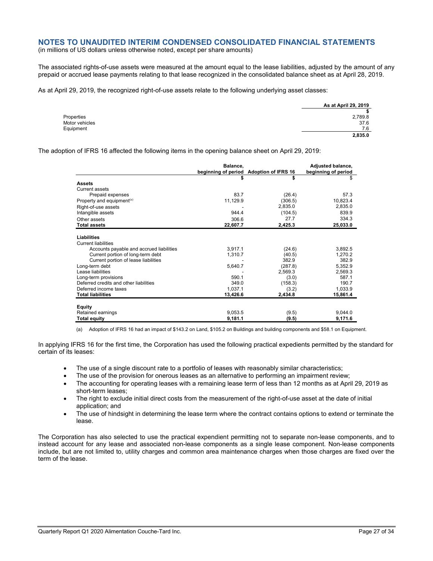(in millions of US dollars unless otherwise noted, except per share amounts)

The associated rights-of-use assets were measured at the amount equal to the lease liabilities, adjusted by the amount of any prepaid or accrued lease payments relating to that lease recognized in the consolidated balance sheet as at April 28, 2019.

As at April 29, 2019, the recognized right-of-use assets relate to the following underlying asset classes:

|                | As at April 29, 2019 |
|----------------|----------------------|
|                | \$                   |
| Properties     | 2,789.8              |
| Motor vehicles | 37.6                 |
| Equipment      | 7.6                  |
|                | 2,835.0              |
|                |                      |

The adoption of IFRS 16 affected the following items in the opening balance sheet on April 29, 2019:

|                                          | Balance, | beginning of period Adoption of IFRS 16 | Adjusted balance,<br>beginning of period |
|------------------------------------------|----------|-----------------------------------------|------------------------------------------|
|                                          | \$       | \$                                      | \$                                       |
| <b>Assets</b>                            |          |                                         |                                          |
| Current assets                           |          |                                         |                                          |
| Prepaid expenses                         | 83.7     | (26.4)                                  | 57.3                                     |
| Property and equipment <sup>(a)</sup>    | 11,129.9 | (306.5)                                 | 10,823.4                                 |
| Right-of-use assets                      |          | 2,835.0                                 | 2,835.0                                  |
| Intangible assets                        | 944.4    | (104.5)                                 | 839.9                                    |
| Other assets                             | 306.6    | 27.7                                    | 334.3                                    |
| <b>Total assets</b>                      | 22,607.7 | 2,425.3                                 | 25,033.0                                 |
|                                          |          |                                         |                                          |
| <b>Liabilities</b>                       |          |                                         |                                          |
| <b>Current liabilities</b>               |          |                                         |                                          |
| Accounts payable and accrued liabilities | 3,917.1  | (24.6)                                  | 3,892.5                                  |
| Current portion of long-term debt        | 1,310.7  | (40.5)                                  | 1,270.2                                  |
| Current portion of lease liabilities     |          | 382.9                                   | 382.9                                    |
| Long-term debt                           | 5,640.7  | (287.8)                                 | 5,352.9                                  |
| Lease liabilities                        |          | 2,569.3                                 | 2,569.3                                  |
| Long-term provisions                     | 590.1    | (3.0)                                   | 587.1                                    |
| Deferred credits and other liabilities   | 349.0    | (158.3)                                 | 190.7                                    |
| Deferred income taxes                    | 1,037.1  | (3.2)                                   | 1,033.9                                  |
| <b>Total liabilities</b>                 | 13,426.6 | 2,434.8                                 | 15,861.4                                 |
|                                          |          |                                         |                                          |
| Equity                                   |          |                                         |                                          |
| Retained earnings                        | 9,053.5  | (9.5)                                   | 9,044.0                                  |
| <b>Total equity</b>                      | 9,181.1  | (9.5)                                   | 9,171.6                                  |

(a) Adoption of IFRS 16 had an impact of \$143.2 on Land, \$105.2 on Buildings and building components and \$58.1 on Equipment.

In applying IFRS 16 for the first time, the Corporation has used the following practical expedients permitted by the standard for certain of its leases:

- The use of a single discount rate to a portfolio of leases with reasonably similar characteristics;
- The use of the provision for onerous leases as an alternative to performing an impairment review;
- The accounting for operating leases with a remaining lease term of less than 12 months as at April 29, 2019 as short-term leases;
- The right to exclude initial direct costs from the measurement of the right-of-use asset at the date of initial application; and
- The use of hindsight in determining the lease term where the contract contains options to extend or terminate the lease.

The Corporation has also selected to use the practical expendient permitting not to separate non-lease components, and to instead account for any lease and associated non-lease components as a single lease component. Non-lease components include, but are not limited to, utility charges and common area maintenance charges when those charges are fixed over the term of the lease.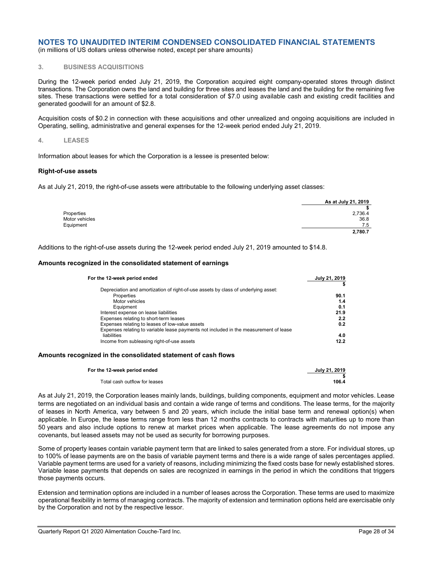(in millions of US dollars unless otherwise noted, except per share amounts)

## **3. BUSINESS ACQUISITIONS**

During the 12-week period ended July 21, 2019, the Corporation acquired eight company-operated stores through distinct transactions. The Corporation owns the land and building for three sites and leases the land and the building for the remaining five sites. These transactions were settled for a total consideration of \$7.0 using available cash and existing credit facilities and generated goodwill for an amount of \$2.8.

Acquisition costs of \$0.2 in connection with these acquisitions and other unrealized and ongoing acquisitions are included in Operating, selling, administrative and general expenses for the 12-week period ended July 21, 2019.

#### **4. LEASES**

Information about leases for which the Corporation is a lessee is presented below:

#### **Right-of-use assets**

As at July 21, 2019, the right-of-use assets were attributable to the following underlying asset classes:

|                | As at July 21, 2019 |
|----------------|---------------------|
|                |                     |
| Properties     | 2,736.4             |
| Motor vehicles | 36.8                |
| Equipment      | 7.5                 |
|                | 2,780.7             |

Additions to the right-of-use assets during the 12-week period ended July 21, 2019 amounted to \$14.8.

#### **Amounts recognized in the consolidated statement of earnings**

| For the 12-week period ended                                                          | July 21, 2019 |
|---------------------------------------------------------------------------------------|---------------|
|                                                                                       |               |
| Depreciation and amortization of right-of-use assets by class of underlying asset:    |               |
| Properties                                                                            | 90.1          |
| Motor vehicles                                                                        | 1.4           |
| Equipment                                                                             | 0.1           |
| Interest expense on lease liabilities                                                 | 21.9          |
| Expenses relating to short-term leases                                                | 2.2           |
| Expenses relating to leases of low-value assets                                       | 0.2           |
| Expenses relating to variable lease payments not included in the measurement of lease |               |
| liabilities                                                                           | 4.0           |
| Income from subleasing right-of-use assets                                            | 12.2          |

#### **Amounts recognized in the consolidated statement of cash flows**

| For the 12-week period ended  | July 21, 2019 |
|-------------------------------|---------------|
|                               |               |
| Total cash outflow for leases | 106.4         |

As at July 21, 2019, the Corporation leases mainly lands, buildings, building components, equipment and motor vehicles. Lease terms are negotiated on an individual basis and contain a wide range of terms and conditions. The lease terms, for the majority of leases in North America, vary between 5 and 20 years, which include the initial base term and renewal option(s) when applicable. In Europe, the lease terms range from less than 12 months contracts to contracts with maturities up to more than 50 years and also include options to renew at market prices when applicable. The lease agreements do not impose any covenants, but leased assets may not be used as security for borrowing purposes.

Some of property leases contain variable payment term that are linked to sales generated from a store. For individual stores, up to 100% of lease payments are on the basis of variable payment terms and there is a wide range of sales percentages applied. Variable payment terms are used for a variety of reasons, including minimizing the fixed costs base for newly established stores. Variable lease payments that depends on sales are recognized in earnings in the period in which the conditions that triggers those payments occurs.

Extension and termination options are included in a number of leases across the Corporation. These terms are used to maximize operational flexibility in terms of managing contracts. The majority of extension and termination options held are exercisable only by the Corporation and not by the respective lessor.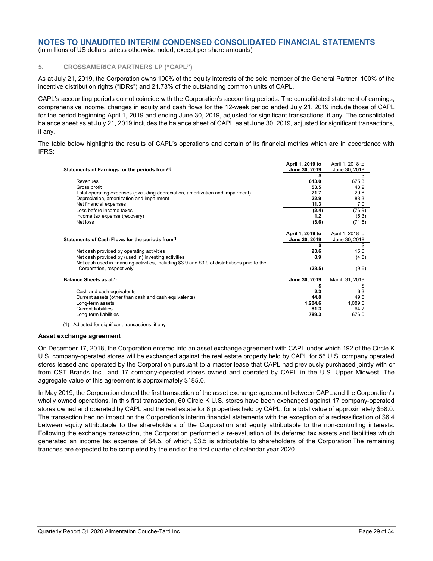(in millions of US dollars unless otherwise noted, except per share amounts)

## **5. CROSSAMERICA PARTNERS LP ("CAPL")**

As at July 21, 2019, the Corporation owns 100% of the equity interests of the sole member of the General Partner, 100% of the incentive distribution rights ("IDRs") and 21.73% of the outstanding common units of CAPL.

CAPL's accounting periods do not coincide with the Corporation's accounting periods. The consolidated statement of earnings, comprehensive income, changes in equity and cash flows for the 12-week period ended July 21, 2019 include those of CAPL for the period beginning April 1, 2019 and ending June 30, 2019, adjusted for significant transactions, if any. The consolidated balance sheet as at July 21, 2019 includes the balance sheet of CAPL as at June 30, 2019, adjusted for significant transactions, if any.

The table below highlights the results of CAPL's operations and certain of its financial metrics which are in accordance with IFRS:

|                                                                                               | April 1, 2019 to | April 1, 2018 to |
|-----------------------------------------------------------------------------------------------|------------------|------------------|
| Statements of Earnings for the periods from <sup>(1)</sup>                                    | June 30, 2019    | June 30, 2018    |
|                                                                                               |                  | \$               |
| Revenues                                                                                      | 613.0            | 675.3            |
| Gross profit                                                                                  | 53.5             | 48.2             |
| Total operating expenses (excluding depreciation, amortization and impairment)                | 21.7             | 29.8             |
| Depreciation, amortization and impairment                                                     | 22.9             | 88.3             |
| Net financial expenses                                                                        | 11.3             | 7.0              |
| Loss before income taxes                                                                      | (2.4)            | (76.9)           |
| Income tax expense (recovery)                                                                 | 1.2              | (5.3)            |
| Net loss                                                                                      | (3.6)            | (71.6)           |
|                                                                                               |                  |                  |
|                                                                                               | April 1, 2019 to | April 1, 2018 to |
| Statements of Cash Flows for the periods from(1)                                              | June 30, 2019    | June 30, 2018    |
|                                                                                               |                  | \$               |
| Net cash provided by operating activities                                                     | 23.6             | 15.0             |
| Net cash provided by (used in) investing activities                                           | 0.9              | (4.5)            |
| Net cash used in financing activities, including \$3.9 and \$3.9 of distributions paid to the |                  |                  |
| Corporation, respectively                                                                     | (28.5)           | (9.6)            |
|                                                                                               |                  |                  |
| Balance Sheets as at <sup>(1)</sup>                                                           | June 30, 2019    | March 31, 2019   |
|                                                                                               |                  |                  |
| Cash and cash equivalents                                                                     | 2.3              | 6.3              |
| Current assets (other than cash and cash equivalents)                                         | 44.8             | 49.5             |
| Long-term assets                                                                              | 1,204.6          | 1,089.6          |
| <b>Current liabilities</b>                                                                    | 81.3             | 64.7             |
| Long-term liabilities                                                                         | 789.3            | 676.0            |

(1) Adjusted for significant transactions, if any.

#### **Asset exchange agreement**

On December 17, 2018, the Corporation entered into an asset exchange agreement with CAPL under which 192 of the Circle K U.S. company-operated stores will be exchanged against the real estate property held by CAPL for 56 U.S. company operated stores leased and operated by the Corporation pursuant to a master lease that CAPL had previously purchased jointly with or from CST Brands Inc., and 17 company-operated stores owned and operated by CAPL in the U.S. Upper Midwest. The aggregate value of this agreement is approximately \$185.0.

In May 2019, the Corporation closed the first transaction of the asset exchange agreement between CAPL and the Corporation's wholly owned operations. In this first transaction, 60 Circle K U.S. stores have been exchanged against 17 company-operated stores owned and operated by CAPL and the real estate for 8 properties held by CAPL, for a total value of approximately \$58.0. The transaction had no impact on the Corporation's interim financial statements with the exception of a reclassification of \$6.4 between equity attributable to the shareholders of the Corporation and equity attributable to the non-controlling interests. Following the exchange transaction, the Corporation performed a re-evaluation of its deferred tax assets and liabilities which generated an income tax expense of \$4.5, of which, \$3.5 is attributable to shareholders of the Corporation.The remaining tranches are expected to be completed by the end of the first quarter of calendar year 2020.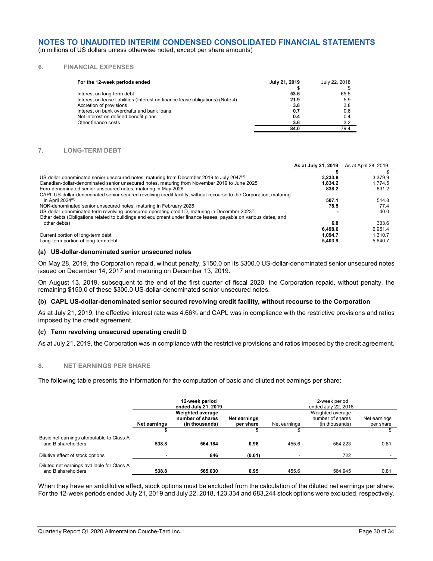(in millions of US dollars unless otherwise noted, except per share amounts)

## **6. FINANCIAL EXPENSES**

| For the 12-week periods ended                                                  | July 21, 2019 | July 22, 2018 |
|--------------------------------------------------------------------------------|---------------|---------------|
|                                                                                |               |               |
| Interest on long-term debt                                                     | 53.6          | 65.5          |
| Interest on lease liabilities (Interest on finance lease obligations) (Note 4) | 21.9          | 5.9           |
| Accretion of provisions                                                        | 3.8           | 3.8           |
| Interest on bank overdrafts and bank loans                                     | 0.7           | 0.6           |
| Net interest on defined benefit plans                                          | 0.4           | 0.4           |
| Other finance costs                                                            | 3.6           | 3.2           |
|                                                                                | 84.0          | 79.4          |

#### **7. LONG-TERM DEBT**

|                                                                                                                    | As at July 21, 2019 | As at April 28, 2019 |
|--------------------------------------------------------------------------------------------------------------------|---------------------|----------------------|
|                                                                                                                    |                     |                      |
| US-dollar-denominated senior unsecured notes, maturing from December 2019 to July 2047 <sup>(a)</sup>              | 3.233.8             | 3.379.9              |
| Canadian-dollar-denominated senior unsecured notes, maturing from November 2019 to June 2025                       | 1,834.2             | 1.774.5              |
| Euro-denominated senior unsecured notes, maturing in May 2026                                                      | 838.2               | 831.2                |
| CAPL US-dollar-denominated senior secured revolving credit facility, without recourse to the Corporation, maturing |                     |                      |
| in April $2024(b)$                                                                                                 | 507.1               | 514.8                |
| NOK-denominated senior unsecured notes, maturing in February 2026                                                  | 78.5                | 77.4                 |
| US-dollar-denominated term revolving unsecured operating credit D, maturing in December 2023 <sup>(c)</sup>        |                     | 40.0                 |
| Other debts (Obligations related to buildings and equipment under finance leases, payable on various dates, and    |                     |                      |
| other debts)                                                                                                       | 6.8                 | 333.6                |
|                                                                                                                    | 6.498.6             | 6.951.4              |
| Current portion of long-term debt                                                                                  | 1.094.7             | 1.310.7              |
| Long-term portion of long-term debt                                                                                | 5.403.9             | 5.640.7              |

#### **(a) US-dollar-denominated senior unsecured notes**

On May 28, 2019, the Corporation repaid, without penalty, \$150.0 on its \$300.0 US-dollar-denominated senior unsecured notes issued on December 14, 2017 and maturing on December 13, 2019.

On August 13, 2019, subsequent to the end of the first quarter of fiscal 2020, the Corporation repaid, without penalty, the remaining \$150.0 of these \$300.0 US-dollar-denominated senior unsecured notes.

#### **(b) CAPL US-dollar-denominated senior secured revolving credit facility, without recourse to the Corporation**

As at July 21, 2019, the effective interest rate was 4.66% and CAPL was in compliance with the restrictive provisions and ratios imposed by the credit agreement.

#### **(c) Term revolving unsecured operating credit D**

As at July 21, 2019, the Corporation was in compliance with the restrictive provisions and ratios imposed by the credit agreement.

#### **8. NET EARNINGS PER SHARE**

The following table presents the information for the computation of basic and diluted net earnings per share:

|                                                                  |              | 12-week period<br>ended July 21, 2019 |              |              | 12-week period<br>ended July 22, 2018 |              |
|------------------------------------------------------------------|--------------|---------------------------------------|--------------|--------------|---------------------------------------|--------------|
|                                                                  | Net earnings | Weighted average<br>number of shares  | Net earnings | Net earnings | Weighted average<br>number of shares  | Net earnings |
|                                                                  |              | (in thousands)                        | per share    | \$           | (in thousands)                        | per share    |
| Basic net earnings attributable to Class A<br>and B shareholders | 538.8        | 564.184                               | 0.96         | 455.6        | 564.223                               | 0.81         |
| Dilutive effect of stock options                                 |              | 846                                   | (0.01)       |              | 722                                   |              |
| Diluted net earnings available for Class A<br>and B shareholders | 538.8        | 565.030                               | 0.95         | 455.6        | 564.945                               | 0.81         |

When they have an antidilutive effect, stock options must be excluded from the calculation of the diluted net earnings per share. For the 12-week periods ended July 21, 2019 and July 22, 2018, 123,334 and 683,244 stock options were excluded, respectively.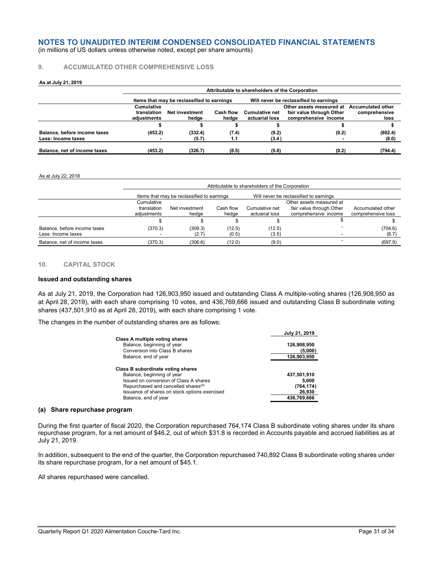(in millions of US dollars unless otherwise noted, except per share amounts)

#### **9. ACCUMULATED OTHER COMPREHENSIVE LOSS**

#### **As at July 21, 2019**

|                              | Attributable to shareholders of the Corporation |                                            |           |                       |                                        |                          |  |
|------------------------------|-------------------------------------------------|--------------------------------------------|-----------|-----------------------|----------------------------------------|--------------------------|--|
|                              |                                                 | Items that may be reclassified to earnings |           |                       | Will never be reclassified to earnings |                          |  |
|                              | Cumulative                                      |                                            |           |                       | Other assets measured at               | <b>Accumulated other</b> |  |
|                              | translation                                     | <b>Net investment</b>                      | Cash flow | <b>Cumulative net</b> | fair value through Other               | comprehensive            |  |
|                              | adiustments                                     | hedae                                      | hedae     | actuarial loss        | comprehensive income                   | loss                     |  |
|                              |                                                 |                                            |           |                       |                                        |                          |  |
| Balance, before income taxes | (453.2)                                         | (332.4)                                    | (7.4)     | (9.2)                 | (0.2)                                  | (802.4)                  |  |
| Less: Income taxes           |                                                 | (5.7)                                      | 1.1       | (3.4)                 |                                        | (8.0)                    |  |
| Balance, net of income taxes | (453.2)                                         | (326.7)                                    | (8.5)     | (5.8)                 | (0.2)                                  | (794.4)                  |  |

#### As at July 22, 2018

|                                                    |                                          | Attributable to shareholders of the Corporation |                    |                                  |                                                                              |                                         |  |  |
|----------------------------------------------------|------------------------------------------|-------------------------------------------------|--------------------|----------------------------------|------------------------------------------------------------------------------|-----------------------------------------|--|--|
|                                                    |                                          | Items that may be reclassified to earnings      |                    |                                  | Will never be reclassified to earnings                                       |                                         |  |  |
|                                                    | Cumulative<br>translation<br>adjustments | Net investment<br>hedge                         | Cash flow<br>hedge | Cumulative net<br>actuarial loss | Other assets measured at<br>fair value through Other<br>comprehensive income | Accumulated other<br>comprehensive loss |  |  |
|                                                    |                                          |                                                 |                    |                                  |                                                                              |                                         |  |  |
| Balance, before income taxes<br>Less: Income taxes | (370.3)                                  | (309.3)<br>(2.7)                                | (12.5)<br>(0.5)    | (12.5)<br>(3.5)                  |                                                                              | (704.6)<br>(6.7)                        |  |  |
| Balance, net of income taxes                       | (370.3)                                  | (306.6)                                         | (12.0)             | (9.0)                            |                                                                              | (697.9)                                 |  |  |

#### **10. CAPITAL STOCK**

#### **Issued and outstanding shares**

As at July 21, 2019, the Corporation had 126,903,950 issued and outstanding Class A multiple-voting shares (126,908,950 as at April 28, 2019), with each share comprising 10 votes, and 436,769,666 issued and outstanding Class B subordinate voting shares (437,501,910 as at April 28, 2019), with each share comprising 1 vote.

The changes in the number of outstanding shares are as follows:

|                                                                 | July 21, 2019 |
|-----------------------------------------------------------------|---------------|
| Class A multiple voting shares                                  |               |
| Balance, beginning of year                                      | 126,908,950   |
| Conversion into Class B shares                                  | (5,000)       |
| Balance, end of year                                            | 126,903,950   |
| Class B subordinate voting shares<br>Balance, beginning of year | 437,501,910   |
| Issued on conversion of Class A shares                          | 5.000         |
| Repurchased and cancelled shares <sup>(a)</sup>                 | (764, 174)    |
| Issuance of shares on stock options exercised                   | 26,930        |
| Balance, end of year                                            | 436.769.666   |

#### **(a) Share repurchase program**

During the first quarter of fiscal 2020, the Corporation repurchased 764,174 Class B subordinate voting shares under its share repurchase program, for a net amount of \$46.2, out of which \$31.8 is recorded in Accounts payable and accrued liabilities as at July 21, 2019.

In addition, subsequent to the end of the quarter, the Corporation repurchased 740,892 Class B subordinate voting shares under its share repurchase program, for a net amount of \$45.1.

All shares repurchased were cancelled.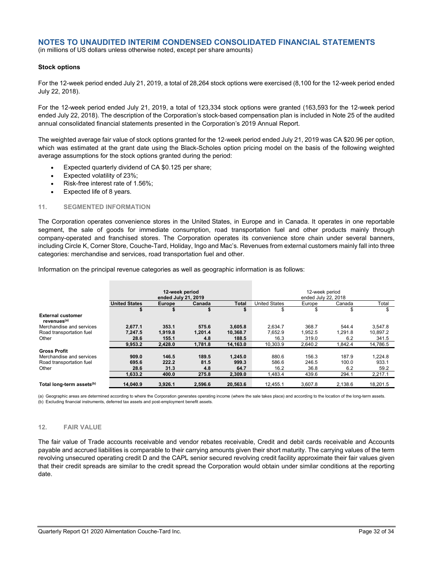(in millions of US dollars unless otherwise noted, except per share amounts)

#### **Stock options**

For the 12-week period ended July 21, 2019, a total of 28,264 stock options were exercised (8,100 for the 12-week period ended July 22, 2018).

For the 12-week period ended July 21, 2019, a total of 123,334 stock options were granted (163,593 for the 12-week period ended July 22, 2018). The description of the Corporation's stock-based compensation plan is included in Note 25 of the audited annual consolidated financial statements presented in the Corporation's 2019 Annual Report.

The weighted average fair value of stock options granted for the 12-week period ended July 21, 2019 was CA \$20.96 per option, which was estimated at the grant date using the Black-Scholes option pricing model on the basis of the following weighted average assumptions for the stock options granted during the period:

- Expected quarterly dividend of CA \$0.125 per share;
- Expected volatility of 23%;
- Risk-free interest rate of 1.56%;
- Expected life of 8 years.

#### **11. SEGMENTED INFORMATION**

The Corporation operates convenience stores in the United States, in Europe and in Canada. It operates in one reportable segment, the sale of goods for immediate consumption, road transportation fuel and other products mainly through company-operated and franchised stores. The Corporation operates its convenience store chain under several banners, including Circle K, Corner Store, Couche-Tard, Holiday, Ingo and Mac's. Revenues from external customers mainly fall into three categories: merchandise and services, road transportation fuel and other.

Information on the principal revenue categories as well as geographic information is as follows:

|                                                     | 12-week period<br>ended July 21, 2019 |               |         | 12-week period<br>ended July 22, 2018 |                      |         |         |          |
|-----------------------------------------------------|---------------------------------------|---------------|---------|---------------------------------------|----------------------|---------|---------|----------|
|                                                     | <b>United States</b>                  | <b>Europe</b> | Canada  | Total                                 | <b>United States</b> | Europe  | Canada  | Total    |
|                                                     |                                       | \$            | \$      | \$                                    | \$                   | \$      | \$      | \$       |
| <b>External customer</b><br>revenues <sup>(a)</sup> |                                       |               |         |                                       |                      |         |         |          |
| Merchandise and services                            | 2.677.1                               | 353.1         | 575.6   | 3,605.8                               | 2.634.7              | 368.7   | 544.4   | 3.547.8  |
| Road transportation fuel                            | 7,247.5                               | 1,919.8       | 1,201.4 | 10,368.7                              | 7.652.9              | 1,952.5 | 1.291.8 | 10,897.2 |
| Other                                               | 28.6                                  | 155.1         | 4.8     | 188.5                                 | 16.3                 | 319.0   | 6.2     | 341.5    |
|                                                     | 9,953.2                               | 2,428.0       | 1,781.8 | 14,163.0                              | 10,303.9             | 2,640.2 | 1.842.4 | 14,786.5 |
| <b>Gross Profit</b>                                 |                                       |               |         |                                       |                      |         |         |          |
| Merchandise and services                            | 909.0                                 | 146.5         | 189.5   | 1.245.0                               | 880.6                | 156.3   | 187.9   | 1.224.8  |
| Road transportation fuel                            | 695.6                                 | 222.2         | 81.5    | 999.3                                 | 586.6                | 246.5   | 100.0   | 933.1    |
| Other                                               | 28.6                                  | 31.3          | 4.8     | 64.7                                  | 16.2                 | 36.8    | 6.2     | 59.2     |
|                                                     | 1,633.2                               | 400.0         | 275.8   | 2,309.0                               | 1.483.4              | 439.6   | 294.1   | 2.217.1  |
| Total long-term assets <sup>(b)</sup>               | 14.040.9                              | 3.926.1       | 2.596.6 | 20.563.6                              | 12.455.1             | 3.607.8 | 2.138.6 | 18.201.5 |

(a) Geographic areas are determined according to where the Corporation generates operating income (where the sale takes place) and according to the location of the long-term assets. (b) Excluding financial instruments, deferred tax assets and post-employment benefit assets.

#### **12. FAIR VALUE**

The fair value of Trade accounts receivable and vendor rebates receivable, Credit and debit cards receivable and Accounts payable and accrued liabilities is comparable to their carrying amounts given their short maturity. The carrying values of the term revolving unsecured operating credit D and the CAPL senior secured revolving credit facility approximate their fair values given that their credit spreads are similar to the credit spread the Corporation would obtain under similar conditions at the reporting date.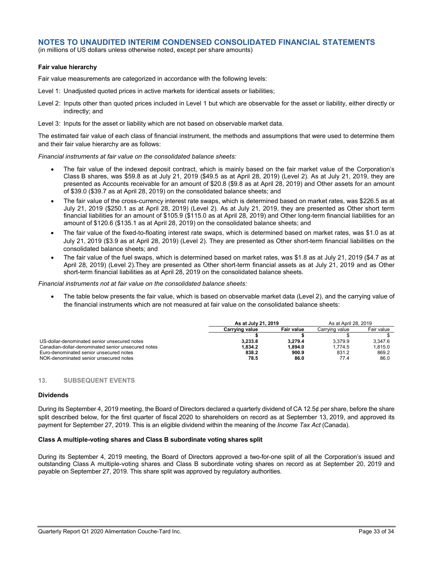(in millions of US dollars unless otherwise noted, except per share amounts)

#### **Fair value hierarchy**

Fair value measurements are categorized in accordance with the following levels:

- Level 1: Unadjusted quoted prices in active markets for identical assets or liabilities;
- Level 2: Inputs other than quoted prices included in Level 1 but which are observable for the asset or liability, either directly or indirectly; and
- Level 3: Inputs for the asset or liability which are not based on observable market data.

The estimated fair value of each class of financial instrument, the methods and assumptions that were used to determine them and their fair value hierarchy are as follows:

*Financial instruments at fair value on the consolidated balance sheets:*

- The fair value of the indexed deposit contract, which is mainly based on the fair market value of the Corporation's Class B shares, was \$59.8 as at July 21, 2019 (\$49.5 as at April 28, 2019) (Level 2). As at July 21, 2019, they are presented as Accounts receivable for an amount of \$20.8 (\$9.8 as at April 28, 2019) and Other assets for an amount of \$39.0 (\$39.7 as at April 28, 2019) on the consolidated balance sheets; and
- The fair value of the cross-currency interest rate swaps, which is determined based on market rates, was \$226.5 as at July 21, 2019 (\$250.1 as at April 28, 2019) (Level 2). As at July 21, 2019, they are presented as Other short term financial liabilities for an amount of \$105.9 (\$115.0 as at April 28, 2019) and Other long-term financial liabilities for an amount of \$120.6 (\$135.1 as at April 28, 2019) on the consolidated balance sheets; and
- The fair value of the fixed-to-floating interest rate swaps, which is determined based on market rates, was \$1.0 as at July 21, 2019 (\$3.9 as at April 28, 2019) (Level 2). They are presented as Other short-term financial liabilities on the consolidated balance sheets; and
- The fair value of the fuel swaps, which is determined based on market rates, was \$1.8 as at July 21, 2019 (\$4.7 as at April 28, 2019) (Level 2).They are presented as Other short-term financial assets as at July 21, 2019 and as Other short-term financial liabilities as at April 28, 2019 on the consolidated balance sheets.

*Financial instruments not at fair value on the consolidated balance sheets:*

• The table below presents the fair value, which is based on observable market data (Level 2), and the carrying value of the financial instruments which are not measured at fair value on the consolidated balance sheets:

|                                                    | As at July 21, 2019 | As at April 28, 2019 |                |            |
|----------------------------------------------------|---------------------|----------------------|----------------|------------|
|                                                    | Carrving value      | Fair value           | Carrying value | Fair value |
|                                                    |                     |                      |                |            |
| US-dollar-denominated senior unsecured notes       | 3.233.8             | 3.279.4              | 3.379.9        | 3.347.6    |
| Canadian-dollar-denominated senior unsecured notes | 1.834.2             | 1.894.0              | 1.774.5        | 1.815.0    |
| Euro-denominated senior unsecured notes            | 838.2               | 900.9                | 831.2          | 869.2      |
| NOK-denominated senior unsecured notes             | 78.5                | 86.0                 | 77.4           | 86.0       |

#### **13. SUBSEQUENT EVENTS**

#### **Dividends**

During its September 4, 2019 meeting, the Board of Directors declared a quarterly dividend of CA 12.5¢ per share, before the share split described below, for the first quarter of fiscal 2020 to shareholders on record as at September 13, 2019, and approved its payment for September 27, 2019. This is an eligible dividend within the meaning of the *Income Tax Act* (Canada).

## **Class A multiple-voting shares and Class B subordinate voting shares split**

During its September 4, 2019 meeting, the Board of Directors approved a two-for-one split of all the Corporation's issued and outstanding Class A multiple-voting shares and Class B subordinate voting shares on record as at September 20, 2019 and payable on September 27, 2019. This share split was approved by regulatory authorities.